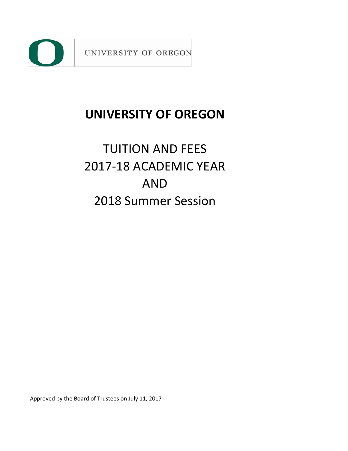

# **UNIVERSITY OF OREGON**

# 2017-18 ACADEMIC YEAR 2018 Summer Session TUITION AND FEES AND

Approved by the Board of Trustees on July 11, 2017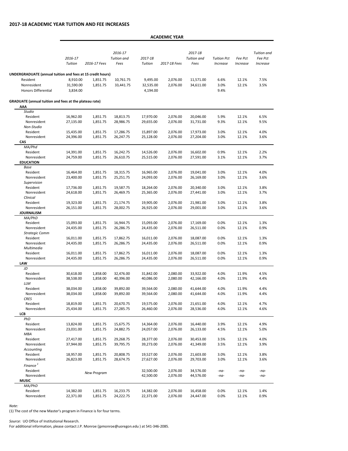## **2017-18 ACADEMIC YEAR TUITION AND FEE INCREASES**

## **ACADEMIC YEAR**

|                                                               |                    |              |                                       |                    | AUADLIVIIU ILAII |                                       |                                |                     |                                           |
|---------------------------------------------------------------|--------------------|--------------|---------------------------------------|--------------------|------------------|---------------------------------------|--------------------------------|---------------------|-------------------------------------------|
|                                                               | 2016-17<br>Tuition | 2016-17 Fees | 2016-17<br><b>Tuition</b> and<br>Fees | 2017-18<br>Tuition | 2017-18 Fees     | 2017-18<br><b>Tuition</b> and<br>Fees | <b>Tuition Pct</b><br>Increase | Fee Pct<br>Increase | <b>Tuition</b> and<br>Fee Pct<br>Increase |
|                                                               |                    |              |                                       |                    |                  |                                       |                                |                     |                                           |
| UNDERGRADUATE (annual tuition and fees at 15 credit hours)    |                    |              |                                       |                    |                  |                                       |                                |                     |                                           |
| Resident                                                      | 8,910.00           | 1,851.75     | 10,761.75                             | 9,495.00           | 2,076.00         | 11,571.00                             | 6.6%                           | 12.1%               | 7.5%                                      |
| Nonresident                                                   | 31,590.00          | 1,851.75     | 33,441.75                             | 32,535.00          | 2,076.00         | 34,611.00                             | 3.0%                           | 12.1%               | 3.5%                                      |
| <b>Honors Differential</b>                                    | 3,834.00           |              |                                       | 4,194.00           |                  |                                       | 9.4%                           |                     |                                           |
| <b>GRADUATE (annual tuition and fees at the plateau rate)</b> |                    |              |                                       |                    |                  |                                       |                                |                     |                                           |
| AAA<br><b>Studio</b>                                          |                    |              |                                       |                    |                  |                                       |                                |                     |                                           |
| Resident                                                      | 16,962.00          | 1,851.75     | 18,813.75                             | 17,970.00          | 2,076.00         | 20,046.00                             | 5.9%                           | 12.1%               | 6.5%                                      |
| Nonresident                                                   | 27,135.00          | 1,851.75     | 28,986.75                             | 29,655.00          | 2,076.00         | 31,731.00                             | 9.3%                           | 12.1%               | 9.5%                                      |
| Non-Studio                                                    |                    |              |                                       |                    |                  |                                       |                                |                     |                                           |
| Resident                                                      | 15,435.00          | 1,851.75     | 17,286.75                             | 15,897.00          | 2,076.00         | 17,973.00                             | 3.0%                           | 12.1%               | 4.0%                                      |
| Nonresident                                                   | 24,396.00          | 1,851.75     | 26,247.75                             | 25,128.00          | 2,076.00         | 27,204.00                             | 3.0%                           | 12.1%               | 3.6%                                      |
| CAS                                                           |                    |              |                                       |                    |                  |                                       |                                |                     |                                           |
| MA/Phd                                                        |                    |              |                                       |                    |                  |                                       |                                |                     |                                           |
| Resident                                                      | 14,391.00          | 1,851.75     | 16,242.75                             | 14,526.00          | 2,076.00         | 16,602.00                             | 0.9%                           | 12.1%               | 2.2%                                      |
| Nonresident                                                   | 24,759.00          | 1,851.75     | 26,610.75                             | 25,515.00          | 2,076.00         | 27,591.00                             | 3.1%                           | 12.1%               | 3.7%                                      |
| <b>EDUCATION</b>                                              |                    |              |                                       |                    |                  |                                       |                                |                     |                                           |
| Base<br>Resident                                              | 16,464.00          | 1,851.75     | 18,315.75                             | 16,965.00          | 2,076.00         | 19,041.00                             | 3.0%                           | 12.1%               | 4.0%                                      |
| Nonresident                                                   | 23,400.00          | 1,851.75     | 25,251.75                             | 24,093.00          | 2,076.00         | 26,169.00                             | 3.0%                           | 12.1%               | 3.6%                                      |
| Supervision                                                   |                    |              |                                       |                    |                  |                                       |                                |                     |                                           |
| Resident                                                      | 17,736.00          | 1,851.75     | 19,587.75                             | 18,264.00          | 2,076.00         | 20,340.00                             | 3.0%                           | 12.1%               | 3.8%                                      |
| Nonresident                                                   | 24,618.00          | 1,851.75     | 26,469.75                             | 25,365.00          | 2,076.00         | 27,441.00                             | 3.0%                           | 12.1%               | 3.7%                                      |
| Clinical                                                      |                    |              |                                       |                    |                  |                                       |                                |                     |                                           |
| Resident                                                      | 19,323.00          | 1,851.75     | 21,174.75                             | 19,905.00          | 2,076.00         | 21,981.00                             | 3.0%                           | 12.1%               | 3.8%                                      |
| Nonresident                                                   | 26,151.00          | 1,851.75     | 28,002.75                             | 26,925.00          | 2,076.00         | 29,001.00                             | 3.0%                           | 12.1%               | 3.6%                                      |
| <b>JOURNALISM</b>                                             |                    |              |                                       |                    |                  |                                       |                                |                     |                                           |
| MA/PhD                                                        |                    |              |                                       |                    |                  |                                       |                                |                     |                                           |
| Resident                                                      | 15,093.00          | 1,851.75     | 16,944.75                             | 15,093.00          | 2,076.00         | 17,169.00                             | 0.0%                           | 12.1%               | 1.3%                                      |
| Nonresident                                                   | 24,435.00          | 1,851.75     | 26,286.75                             | 24,435.00          | 2,076.00         | 26,511.00                             | 0.0%                           | 12.1%               | 0.9%                                      |
| Strategic Comm                                                |                    |              |                                       |                    |                  |                                       |                                |                     |                                           |
| Resident                                                      | 16,011.00          | 1,851.75     | 17,862.75                             | 16,011.00          | 2,076.00         | 18,087.00                             | 0.0%                           | 12.1%               | 1.3%                                      |
| Nonresident<br>Multimedia                                     | 24,435.00          | 1,851.75     | 26,286.75                             | 24,435.00          | 2,076.00         | 26,511.00                             | 0.0%                           | 12.1%               | 0.9%                                      |
| Resident                                                      | 16,011.00          | 1,851.75     | 17,862.75                             | 16,011.00          | 2,076.00         | 18,087.00                             | 0.0%                           | 12.1%               | 1.3%                                      |
| Nonresident                                                   | 24,435.00          | 1,851.75     | 26,286.75                             | 24,435.00          | 2,076.00         | 26,511.00                             | 0.0%                           | 12.1%               | 0.9%                                      |
| LAW                                                           |                    |              |                                       |                    |                  |                                       |                                |                     |                                           |
| JD                                                            |                    |              |                                       |                    |                  |                                       |                                |                     |                                           |
| Resident                                                      | 30,618.00          | 1,858.00     | 32,476.00                             | 31,842.00          | 2,080.00         | 33,922.00                             | 4.0%                           | 11.9%               | 4.5%                                      |
| Nonresident                                                   | 38,538.00          | 1,858.00     | 40,396.00                             | 40,086.00          | 2,080.00         | 42,166.00                             | 4.0%                           | 11.9%               | 4.4%                                      |
| LLM                                                           |                    |              |                                       |                    |                  |                                       |                                |                     |                                           |
| Resident                                                      | 38,034.00          | 1,858.00     | 39,892.00                             | 39,564.00          | 2,080.00         | 41,644.00                             | 4.0%                           | 11.9%               | 4.4%                                      |
| Nonresident                                                   | 38,034.00          | 1,858.00     | 39,892.00                             | 39,564.00          | 2,080.00         | 41,644.00                             | 4.0%                           | 11.9%               | 4.4%                                      |
| <b>CRES</b>                                                   |                    |              |                                       |                    |                  |                                       |                                |                     |                                           |
| Resident                                                      | 18,819.00          | 1,851.75     | 20,670.75                             | 19,575.00          | 2,076.00         | 21,651.00                             | 4.0%                           | 12.1%               | 4.7%                                      |
| Nonresident                                                   | 25,434.00          | 1,851.75     | 27,285.75                             | 26,460.00          | 2,076.00         | 28,536.00                             | 4.0%                           | 12.1%               | 4.6%                                      |
| LCB<br>PhD                                                    |                    |              |                                       |                    |                  |                                       |                                |                     |                                           |
| Resident                                                      | 13,824.00          | 1,851.75     | 15,675.75                             | 14,364.00          | 2,076.00         | 16,440.00                             | 3.9%                           | 12.1%               | 4.9%                                      |
| Nonresident                                                   | 23,031.00          | 1,851.75     | 24,882.75                             | 24,057.00          | 2,076.00         | 26,133.00                             | 4.5%                           | 12.1%               | 5.0%                                      |
| MBA                                                           |                    |              |                                       |                    |                  |                                       |                                |                     |                                           |
| Resident                                                      | 27,417.00          | 1,851.75     | 29,268.75                             | 28,377.00          | 2,076.00         | 30,453.00                             | 3.5%                           | 12.1%               | 4.0%                                      |
| Nonresident                                                   | 37,944.00          | 1,851.75     | 39,795.75                             | 39,273.00          | 2,076.00         | 41,349.00                             | 3.5%                           | 12.1%               | 3.9%                                      |
| Accounting                                                    |                    |              |                                       |                    |                  |                                       |                                |                     |                                           |
| Resident                                                      | 18,957.00          | 1,851.75     | 20,808.75                             | 19,527.00          | 2,076.00         | 21,603.00                             | 3.0%                           | 12.1%               | 3.8%                                      |
| Nonresident                                                   | 26,823.00          | 1,851.75     | 28,674.75                             | 27,627.00          | 2,076.00         | 29,703.00                             | 3.0%                           | 12.1%               | 3.6%                                      |
| Finance <sup>1</sup>                                          |                    |              |                                       |                    |                  |                                       |                                |                     |                                           |
| Resident                                                      |                    |              |                                       | 32,500.00          | 2,076.00         | 34,576.00                             | $-na-$                         | $-na-$              | $-na-$                                    |
| Nonresident                                                   |                    | New Program  |                                       | 42,500.00          | 2,076.00         | 44,576.00                             | $-na-$                         | $-na-$              | $-na-$                                    |
| <b>MUSIC</b>                                                  |                    |              |                                       |                    |                  |                                       |                                |                     |                                           |
| MA/PhD                                                        |                    |              |                                       |                    |                  |                                       |                                |                     |                                           |
| Resident                                                      | 14,382.00          | 1,851.75     | 16,233.75                             | 14,382.00          | 2,076.00         | 16,458.00                             | 0.0%                           | 12.1%               | 1.4%                                      |
| Nonresident                                                   | 22,371.00          | 1,851.75     | 24,222.75                             | 22,371.00          | 2,076.00         | 24,447.00                             | 0.0%                           | 12.1%               | 0.9%                                      |

*Note:*

(1) The cost of the new Master's program in Finance is for four terms.

*Source:* UO Office of Institutional Research.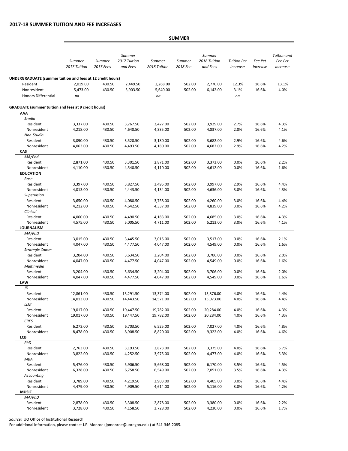## **2017-18 SUMMER TUITION AND FEE INCREASES**

*Summer 2017 Tuition Summer 2017 Fees Summer 2017 Tuition and Fees Summer 2018 Tuition Summer 2018 Fee Summer 2018 Tuition and Fees Tuition Pct Increase Fee Pct Increase Tuition and Fee Pct Increase*  Resident 2,019.00 430.50 2,449.50 2,268.00 502.00 2,770.00 12.3% 16.6% 13.1% Nonresident 5,473.00 430.50 5,903.50 5,640.00 502.00 6,142.00 3.1% 16.6% 4.0% Honors Differential *-na- -na- -na-***AAA** *Studio* Resident 3,337.00 430.50 3,767.50 3,427.00 502.00 3,929.00 2.7% 16.6% 4.3% Nonresident 4,218.00 430.50 4,648.50 4,335.00 502.00 4,837.00 2.8% 16.6% 4.1% *Non-Studio* Resident 3,090.00 430.50 3,520.50 3,180.00 502.00 3,682.00 2.9% 16.6% 4.6% Nonresident 4,063.00 430.50 4,493.50 4,180.00 502.00 4,682.00 2.9% 16.6% 4.2% **CAS** *MA/Phd* Resident 2,871.00 430.50 3,301.50 2,871.00 502.00 3,373.00 0.0% 16.6% 2.2% Nonresident 4,110.00 430.50 4,540.50 4,110.00 502.00 4,612.00 0.0% 16.6% 1.6% **EDUCATION** *Base* Resident 3,397.00 430.50 3,827.50 3,495.00 502.00 3,997.00 2.9% 16.6% 4.4% Nonresident 4,013.00 430.50 4,443.50 4,134.00 502.00 4,636.00 3.0% 16.6% 4.3% *Supervision* Resident 3,650.00 430.50 4,080.50 3,758.00 502.00 4,260.00 3.0% 16.6% 4.4% Nonresident 4,212.00 430.50 4,642.50 4,337.00 502.00 4,839.00 3.0% 16.6% 4.2% *Clinical* Resident 4,060.00 430.50 4,490.50 4,183.00 502.00 4,685.00 3.0% 16.6% 4.3% Nonresident 4,575.00 430.50 5,005.50 4,711.00 502.00 5,213.00 3.0% 16.6% 4.1% **JOURNALISM** *MA/PhD* Resident 3,015.00 430.50 3,445.50 3,015.00 502.00 3,517.00 0.0% 16.6% 2.1% Nonresident 4,047.00 430.50 4,477.50 4,047.00 502.00 4,549.00 0.0% 16.6% 1.6% *Strategic Comm* **SUMMER UNDERGRADUATE (summer tuition and fees at 12 credit hours) GRADUATE (summer tuition and fees at 9 credit hours)**

Resident 3,204.00 430.50 3,634.50 3,204.00 502.00 3,706.00 0.0% 16.6% 2.0% Nonresident 4,047.00 430.50 4,477.50 4,047.00 502.00 4,549.00 0.0% 16.6% 1.6%

Resident 3,204.00 430.50 3,634.50 3,204.00 502.00 3,706.00 0.0% 16.6% 2.0% Nonresident 4,047.00 430.50 4,477.50 4,047.00 502.00 4,549.00 0.0% 16.6% 1.6%

**LAW** *JD* Resident 12,861.00 430.50 13,291.50 13,374.00 502.00 13,876.00 4.0% 16.6% 4.4% Nonresident 14,013.00 430.50 14,443.50 14,571.00 502.00 15,073.00 4.0% 16.6% 4.4% *LLM* Resident 19,017.00 430.50 19,447.50 19,782.00 502.00 20,284.00 4.0% 16.6% 4.3% Nonresident 19,017.00 430.50 19,447.50 19,782.00 502.00 20,284.00 4.0% 16.6% 4.3% *CRES* Resident 6,273.00 430.50 6,703.50 6,525.00 502.00 7,027.00 4.0% 16.6% 4.8% Nonresident 8,478.00 430.50 8,908.50 8,820.00 502.00 9,322.00 4.0% 16.6% 4.6% **LCB** *PhD* Resident 2,763.00 430.50 3,193.50 2,873.00 502.00 3,375.00 4.0% 16.6% 5.7% Nonresident 3,822.00 430.50 4,252.50 3,975.00 502.00 4,477.00 4.0% 16.6% 5.3% *MBA* Resident 5,476.00 430.50 5,906.50 5,668.00 502.00 6,170.00 3.5% 16.6% 4.5% Nonresident 6,328.00 430.50 6,758.50 6,549.00 502.00 7,051.00 3.5% 16.6% 4.3% *Accounting* Resident 3,789.00 430.50 4,219.50 3,903.00 502.00 4,405.00 3.0% 16.6% 4.4% Nonresident 4,479.00 430.50 4,909.50 4,614.00 502.00 5,116.00 3.0% 16.6% 4.2% **MUSIC** *MA/PhD* Resident 2,878.00 430.50 3,308.50 2,878.00 502.00 3,380.00 0.0% 16.6% 2.2% Nonresident 3,728.00 430.50 4,158.50 3,728.00 502.00 4,230.00 0.0% 16.6% 1.7%

*Source:* UO Office of Institutional Research.

*Multimedia*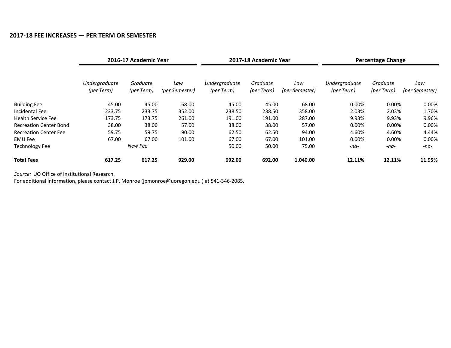## **2017-18 FEE INCREASES — PER TERM OR SEMESTER**

|                               |                             | 2016-17 Academic Year  |                       |                             | 2017-18 Academic Year  |                       |                             | <b>Percentage Change</b> |                       |
|-------------------------------|-----------------------------|------------------------|-----------------------|-----------------------------|------------------------|-----------------------|-----------------------------|--------------------------|-----------------------|
|                               | Undergraduate<br>(per Term) | Graduate<br>(per Term) | Law<br>(per Semester) | Undergraduate<br>(per Term) | Graduate<br>(per Term) | Law<br>(per Semester) | Undergraduate<br>(per Term) | Graduate<br>(per Term)   | Law<br>(per Semester) |
| <b>Building Fee</b>           | 45.00                       | 45.00                  | 68.00                 | 45.00                       | 45.00                  | 68.00                 | $0.00\%$                    | 0.00%                    | 0.00%                 |
| Incidental Fee                | 233.75                      | 233.75                 | 352.00                | 238.50                      | 238.50                 | 358.00                | 2.03%                       | 2.03%                    | 1.70%                 |
| <b>Health Service Fee</b>     | 173.75                      | 173.75                 | 261.00                | 191.00                      | 191.00                 | 287.00                | 9.93%                       | 9.93%                    | 9.96%                 |
| <b>Recreation Center Bond</b> | 38.00                       | 38.00                  | 57.00                 | 38.00                       | 38.00                  | 57.00                 | 0.00%                       | 0.00%                    | $0.00\%$              |
| <b>Recreation Center Fee</b>  | 59.75                       | 59.75                  | 90.00                 | 62.50                       | 62.50                  | 94.00                 | 4.60%                       | 4.60%                    | 4.44%                 |
| <b>EMU Fee</b>                | 67.00                       | 67.00                  | 101.00                | 67.00                       | 67.00                  | 101.00                | 0.00%                       | 0.00%                    | 0.00%                 |
| <b>Technology Fee</b>         |                             | New Fee                |                       | 50.00                       | 50.00                  | 75.00                 | -na-                        | -na-                     | -na-                  |
| <b>Total Fees</b>             | 617.25                      | 617.25                 | 929.00                | 692.00                      | 692.00                 | 1,040.00              | 12.11%                      | 12.11%                   | 11.95%                |

*Source:* UO Office of Institutional Research.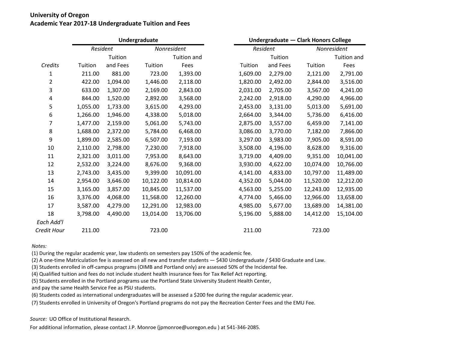## **University of Oregon Academic Year 2017-18 Undergraduate Tuition and Fees**

|                |          |          | Undergraduate |             | Undergraduate - Clark Honors College |          |             |                    |  |  |
|----------------|----------|----------|---------------|-------------|--------------------------------------|----------|-------------|--------------------|--|--|
|                | Resident |          | Nonresident   |             | Resident                             |          | Nonresident |                    |  |  |
|                |          | Tuition  |               | Tuition and |                                      | Tuition  |             | <b>Tuition and</b> |  |  |
| Credits        | Tuition  | and Fees | Tuition       | Fees        | Tuition                              | and Fees | Tuition     | Fees               |  |  |
| 1              | 211.00   | 881.00   | 723.00        | 1,393.00    | 1,609.00                             | 2,279.00 | 2,121.00    | 2,791.00           |  |  |
| $\overline{2}$ | 422.00   | 1,094.00 | 1,446.00      | 2,118.00    | 1,820.00                             | 2,492.00 | 2,844.00    | 3,516.00           |  |  |
| 3              | 633.00   | 1,307.00 | 2,169.00      | 2,843.00    | 2,031.00                             | 2,705.00 | 3,567.00    | 4,241.00           |  |  |
| 4              | 844.00   | 1,520.00 | 2,892.00      | 3,568.00    | 2,242.00                             | 2,918.00 | 4,290.00    | 4,966.00           |  |  |
| 5              | 1,055.00 | 1,733.00 | 3,615.00      | 4,293.00    | 2,453.00                             | 3,131.00 | 5,013.00    | 5,691.00           |  |  |
| 6              | 1,266.00 | 1,946.00 | 4,338.00      | 5,018.00    | 2,664.00                             | 3,344.00 | 5,736.00    | 6,416.00           |  |  |
| 7              | 1,477.00 | 2,159.00 | 5,061.00      | 5,743.00    | 2,875.00                             | 3,557.00 | 6,459.00    | 7,141.00           |  |  |
| 8              | 1,688.00 | 2,372.00 | 5,784.00      | 6,468.00    | 3,086.00                             | 3,770.00 | 7,182.00    | 7,866.00           |  |  |
| 9              | 1,899.00 | 2,585.00 | 6,507.00      | 7,193.00    | 3,297.00                             | 3,983.00 | 7,905.00    | 8,591.00           |  |  |
| 10             | 2,110.00 | 2,798.00 | 7,230.00      | 7,918.00    | 3,508.00                             | 4,196.00 | 8,628.00    | 9,316.00           |  |  |
| 11             | 2,321.00 | 3,011.00 | 7,953.00      | 8,643.00    | 3,719.00                             | 4,409.00 | 9,351.00    | 10,041.00          |  |  |
| 12             | 2,532.00 | 3,224.00 | 8,676.00      | 9,368.00    | 3,930.00                             | 4,622.00 | 10,074.00   | 10,766.00          |  |  |
| 13             | 2,743.00 | 3,435.00 | 9,399.00      | 10,091.00   | 4,141.00                             | 4,833.00 | 10,797.00   | 11,489.00          |  |  |
| 14             | 2,954.00 | 3,646.00 | 10,122.00     | 10,814.00   | 4,352.00                             | 5,044.00 | 11,520.00   | 12,212.00          |  |  |
| 15             | 3,165.00 | 3,857.00 | 10,845.00     | 11,537.00   | 4,563.00                             | 5,255.00 | 12,243.00   | 12,935.00          |  |  |
| 16             | 3,376.00 | 4,068.00 | 11,568.00     | 12,260.00   | 4,774.00                             | 5,466.00 | 12,966.00   | 13,658.00          |  |  |
| 17             | 3,587.00 | 4,279.00 | 12,291.00     | 12,983.00   | 4,985.00                             | 5,677.00 | 13,689.00   | 14,381.00          |  |  |
| 18             | 3,798.00 | 4,490.00 | 13,014.00     | 13,706.00   | 5,196.00                             | 5,888.00 | 14,412.00   | 15,104.00          |  |  |
| Each Add'l     |          |          |               |             |                                      |          |             |                    |  |  |
| Credit Hour    | 211.00   |          | 723.00        |             | 211.00                               |          | 723.00      |                    |  |  |

*Notes:*

(1) During the regular academic year, law students on semesters pay 150% of the academic fee.

(2) A one-time Matriculation fee is assessed on all new and transfer students — \$430 Undergraduate / \$430 Graduate and Law.

(3) Students enrolled in off-campus programs (OIMB and Portland only) are assessed 50% of the Incidental fee.

(4) Qualified tuition and fees do not include student health insurance fees for Tax Relief Act reporting.

(5) Students enrolled in the Portland programs use the Portland State University Student Health Center,

and pay the same Health Service Fee as PSU students.

(6) Students coded as international undergraduates will be assessed a \$200 fee during the regular academic year.

(7) Students enrolled in University of Oregon's Portland programs do not pay the Recreation Center Fees and the EMU Fee.

*Source:* UO Office of Institutional Research.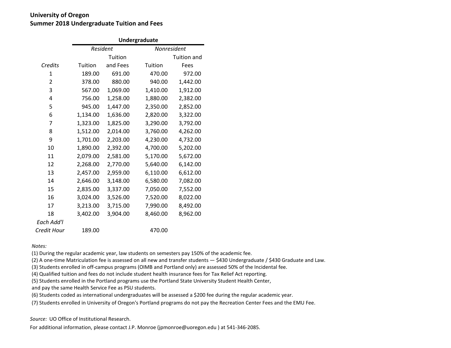# **University of Oregon Summer 2018 Undergraduate Tuition and Fees**

|             |          | Undergraduate |             |                    |  |  |  |  |  |  |  |  |  |
|-------------|----------|---------------|-------------|--------------------|--|--|--|--|--|--|--|--|--|
|             | Resident |               | Nonresident |                    |  |  |  |  |  |  |  |  |  |
|             |          | Tuition       |             | <b>Tuition and</b> |  |  |  |  |  |  |  |  |  |
| Credits     | Tuition  | and Fees      | Tuition     | Fees               |  |  |  |  |  |  |  |  |  |
| 1           | 189.00   | 691.00        | 470.00      | 972.00             |  |  |  |  |  |  |  |  |  |
| 2           | 378.00   | 880.00        | 940.00      | 1,442.00           |  |  |  |  |  |  |  |  |  |
| 3           | 567.00   | 1,069.00      | 1,410.00    | 1,912.00           |  |  |  |  |  |  |  |  |  |
| 4           | 756.00   | 1,258.00      | 1,880.00    | 2,382.00           |  |  |  |  |  |  |  |  |  |
| 5           | 945.00   | 1,447.00      | 2,350.00    | 2,852.00           |  |  |  |  |  |  |  |  |  |
| 6           | 1,134.00 | 1,636.00      | 2,820.00    | 3,322.00           |  |  |  |  |  |  |  |  |  |
| 7           | 1,323.00 | 1,825.00      | 3,290.00    | 3,792.00           |  |  |  |  |  |  |  |  |  |
| 8           | 1,512.00 | 2,014.00      | 3,760.00    | 4,262.00           |  |  |  |  |  |  |  |  |  |
| 9           | 1,701.00 | 2,203.00      | 4,230.00    | 4,732.00           |  |  |  |  |  |  |  |  |  |
| 10          | 1,890.00 | 2,392.00      | 4,700.00    | 5,202.00           |  |  |  |  |  |  |  |  |  |
| 11          | 2,079.00 | 2,581.00      | 5,170.00    | 5,672.00           |  |  |  |  |  |  |  |  |  |
| 12          | 2,268.00 | 2,770.00      | 5,640.00    | 6,142.00           |  |  |  |  |  |  |  |  |  |
| 13          | 2,457.00 | 2,959.00      | 6,110.00    | 6,612.00           |  |  |  |  |  |  |  |  |  |
| 14          | 2,646.00 | 3,148.00      | 6,580.00    | 7,082.00           |  |  |  |  |  |  |  |  |  |
| 15          | 2,835.00 | 3,337.00      | 7,050.00    | 7,552.00           |  |  |  |  |  |  |  |  |  |
| 16          | 3,024.00 | 3,526.00      | 7,520.00    | 8,022.00           |  |  |  |  |  |  |  |  |  |
| 17          | 3,213.00 | 3,715.00      | 7,990.00    | 8,492.00           |  |  |  |  |  |  |  |  |  |
| 18          | 3,402.00 | 3,904.00      | 8,460.00    | 8,962.00           |  |  |  |  |  |  |  |  |  |
| Each Add'l  |          |               |             |                    |  |  |  |  |  |  |  |  |  |
| Credit Hour | 189.00   |               | 470.00      |                    |  |  |  |  |  |  |  |  |  |

*Notes:*

(1) During the regular academic year, law students on semesters pay 150% of the academic fee.

(2) A one-time Matriculation fee is assessed on all new and transfer students — \$430 Undergraduate / \$430 Graduate and Law.

(3) Students enrolled in off-campus programs (OIMB and Portland only) are assessed 50% of the Incidental fee.

(4) Qualified tuition and fees do not include student health insurance fees for Tax Relief Act reporting.

(5) Students enrolled in the Portland programs use the Portland State University Student Health Center,

and pay the same Health Service Fee as PSU students.

(6) Students coded as international undergraduates will be assessed a \$200 fee during the regular academic year.

(7) Students enrolled in University of Oregon's Portland programs do not pay the Recreation Center Fees and the EMU Fee.

*Source:* UO Office of Institutional Research.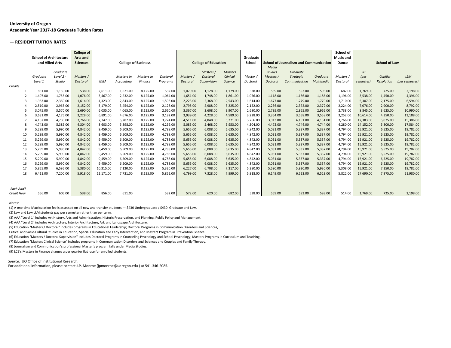## **University of Oregon Academic Year 2017-18 Graduate Tuition Rates**

#### **— RESIDENT TUITION RATES**

|             |          | <b>College of</b><br><b>School of Architecture</b><br><b>Arts and</b><br>and Allied Arts<br><b>College of Business</b><br><b>Sciences</b> |           |            | <b>College of Education</b> |            | Graduate<br>School |           | <b>School of Journalism and Communication</b> |                | School of<br><b>Music and</b><br>Dance |                         | <b>School of Law</b> |            |          |           |            |                |
|-------------|----------|-------------------------------------------------------------------------------------------------------------------------------------------|-----------|------------|-----------------------------|------------|--------------------|-----------|-----------------------------------------------|----------------|----------------------------------------|-------------------------|----------------------|------------|----------|-----------|------------|----------------|
|             |          | Graduate                                                                                                                                  |           |            |                             |            |                    |           | Masters /                                     | <b>Masters</b> |                                        | Media<br><b>Studies</b> | Graduate             |            |          | JD        |            |                |
|             | Graduate | Level 2 -                                                                                                                                 | Masters / |            | Masters In                  | Masters In | Doctoral           | Masters / | Doctoral                                      | Clinical       | <b>Master</b>                          | Masters /               | <b>Strategic</b>     | Graduate   | Masters, | (per      | Conflict   | <b>LLM</b>     |
|             | Level 1  | Studio                                                                                                                                    | Doctoral  | <b>MBA</b> | Accounting                  | Finance    | Programs           | Doctoral  | Supervision                                   | <b>Science</b> | Doctoral                               | Doctoral                | Communication        | Multimedia | Doctoral | semester) | Resolution | (per semester) |
| Credits     |          |                                                                                                                                           |           |            |                             |            |                    |           |                                               |                |                                        |                         |                      |            |          |           |            |                |
|             | 851.00   | 1,150.00                                                                                                                                  | 538.00    | 2,611.00   | 1,621.00                    | 8,125.00   | 532.00             | 1,079.00  | 1,128.00                                      | 1,179.00       | 538.00                                 | 559.00                  | 593.00               | 593.00     | 682.00   | 1,769.00  | 725.00     | 2,198.00       |
|             | 1,407.00 | 1.755.00                                                                                                                                  | 1,076.00  | 3,467.00   | 2,232.00                    | 8,125.00   | 1,064.00           | 1,651.00  | 1,748.00                                      | 1,861.00       | 1.076.00                               | 1,118.00                | 1,186.00             | 1,186.00   | 1.196.00 | 3.538.00  | 1,450.00   | 4,396.00       |
|             | 1,963.00 | 2,360.00                                                                                                                                  | 1,614.00  | 4,323.00   | 2,843.00                    | 8,125.00   | 1,596.00           | 2,223.00  | 2,368.00                                      | 2,543.00       | 1,614.00                               | 1,677.00                | 1,779.00             | 1,779.00   | 1,710.00 | 5,307.00  | 2,175.00   | 6,594.00       |
|             | 2,519.00 | 2,965.00                                                                                                                                  | 2,152.00  | 5,179.00   | 3,454.00                    | 8,125.00   | 2,128.00           | 2,795.00  | 2,988.00                                      | 3,225.00       | 2,152.00                               | 2,236.00                | 2,372.00             | 2,372.00   | 2,224.00 | 7,076.00  | 2,900.00   | 8,792.00       |
|             | 3,075.00 | 3,570.00                                                                                                                                  | 2,690.00  | 6,035.00   | 4,065.00                    | 8,125.00   | 2,660.00           | 3,367.00  | 3,608.00                                      | 3,907.00       | 2,690.00                               | 2,795.00                | 2,965.00             | 2,965.00   | 2,738.00 | 8,845.00  | 3,625.00   | 10,990.00      |
|             | 3,631.00 | 4,175.00                                                                                                                                  | 3,228.00  | 6,891.00   | 4,676.00                    | 8,125.00   | 3,192.00           | 3,939.00  | 4,228.00                                      | 4,589.00       | 3,228.00                               | 3,354.00                | 3,558.00             | 3,558.00   | 3,252.00 | 10,614.00 | 4,350.00   | 13,188.00      |
|             | 4,187.00 | 4,780.00                                                                                                                                  | 3,766.00  | 7,747.00   | 5,287.00                    | 8,125.00   | 3,724.00           | 4,511.00  | 4,848.00                                      | 5,271.00       | 3,766.00                               | 3,913.00                | 4,151.00             | 4,151.00   | 3,766.00 | 12,383.00 | 5,075.00   | 15,386.00      |
|             | 4,743.00 | 5,385.00                                                                                                                                  | 4,304.00  | 8,603.00   | 5,898.00                    | 8,125.00   | 4,256.00           | 5,083.00  | 5,468.00                                      | 5,953.00       | 4,304.00                               | 4,472.00                | 4,744.00             | 4,744.00   | 4,280.00 | 14,152.00 | 5,800.00   | 17,584.00      |
|             | 5,299.00 | 5.990.00                                                                                                                                  | 4.842.00  | 9,459.00   | 6,509.00                    | 8,125.00   | 4,788.00           | 5,655.00  | 6,088.00                                      | 6,635.00       | 4,842.00                               | 5,031.00                | 5,337.00             | 5,337.00   | 4.794.00 | 15,921.00 | 6,525.00   | 19,782.00      |
| 10          | 5,299.00 | 5,990.00                                                                                                                                  | 4,842.00  | 9,459.00   | 6,509.00                    | 8,125.00   | 4,788.00           | 5,655.00  | 6,088.00                                      | 6,635.00       | 4,842.00                               | 5,031.00                | 5,337.00             | 5,337.00   | 4.794.00 | 15,921.00 | 6,525.00   | 19,782.00      |
| 11          | 5,299.00 | 5.990.00                                                                                                                                  | 4,842.00  | 9,459.00   | 6,509.00                    | 8,125.00   | 4,788.00           | 5,655.00  | 6,088.00                                      | 6,635.00       | 4.842.00                               | 5,031.00                | 5,337.00             | 5,337.00   | 4.794.00 | 15,921.00 | 6,525.00   | 19,782.00      |
| 12          | 5,299.00 | 5,990.00                                                                                                                                  | 4,842.00  | 9,459.00   | 6,509.00                    | 8,125.00   | 4,788.00           | 5,655.00  | 6,088.00                                      | 6,635.00       | 4,842.00                               | 5,031.00                | 5,337.00             | 5,337.00   | 4,794.00 | 15,921.00 | 6,525.00   | 19,782.00      |
| 13          | 5,299.00 | 5,990.00                                                                                                                                  | 4,842.00  | 9,459.00   | 6,509.00                    | 8,125.00   | 4,788.00           | 5,655.00  | 6,088.00                                      | 6,635.00       | 4,842.00                               | 5,031.00                | 5,337.00             | 5,337.00   | 4,794.00 | 15,921.00 | 6,525.00   | 19,782.00      |
| 14          | 5,299.00 | 5,990.00                                                                                                                                  | 4,842.00  | 9,459.00   | 6,509.00                    | 8,125.00   | 4,788.00           | 5,655.00  | 6,088.00                                      | 6,635.00       | 4,842.00                               | 5,031.00                | 5,337.00             | 5,337.00   | 4,794.00 | 15,921.00 | 6,525.00   | 19,782.00      |
| 15          | 5,299.00 | 5,990.00                                                                                                                                  | 4,842.00  | 9,459.00   | 6,509.00                    | 8,125.00   | 4,788.00           | 5,655.00  | 6,088.00                                      | 6,635.00       | 4,842.00                               | 5,031.00                | 5,337.00             | 5,337.00   | 4,794.00 | 15,921.00 | 6,525.00   | 19,782.00      |
| 16          | 5,299.00 | 5.990.00                                                                                                                                  | 4,842.00  | 9,459.00   | 6,509.00                    | 8,125.00   | 4,788.00           | 5,655.00  | 6,088.00                                      | 6,635.00       | 4,842.00                               | 5,031.00                | 5,337.00             | 5,337.00   | 4,794.00 | 15,921.00 | 6,525.00   | 19,782.00      |
| 17          | 5,855.00 | 6,595.00                                                                                                                                  | 5,380.00  | 10,315.00  | 7,120.00                    | 8,125.00   | 5,320.00           | 6,227.00  | 6,708.00                                      | 7,317.00       | 5,380.00                               | 5,590.00                | 5,930.00             | 5,930.00   | 5,308.00 | 15,921.00 | 7,250.00   | 19,782.00      |
| 18          | 6,411.00 | 7.200.00                                                                                                                                  | 5,918.00  | 11,171.00  | 7,731.00                    | 8,125.00   | 5,852.00           | 6,799.00  | 7,328.00                                      | 7,999.00       | 5,918.00                               | 6,149.00                | 6,523.00             | 6,523.00   | 5.822.00 | 17,690.00 | 7,975.00   | 21,980.00      |
| Each Add'l  |          |                                                                                                                                           |           |            |                             |            |                    |           |                                               |                |                                        |                         |                      |            |          |           |            |                |
| Credit Hour | 556.00   | 605.00                                                                                                                                    | 538.00    | 856.00     | 611.00                      |            | 532.00             | 572.00    | 620.00                                        | 682.00         | 538.00                                 | 559.00                  | 593.00               | 593.00     | 514.00   | 1,769.00  | 725.00     | 2,198.00       |

*Notes:*

(1) A one-time Matriculation fee is assessed on all new and transfer students — \$430 Undergraduate / \$430 Graduate and Law.

(2) Law and Law LLM students pay per semester rather than per term.

(3) AAA "Level 1" includes Art History, Arts and Administration, Historic Preservation, and Planning, Public Policy and Management.

(4) AAA "Level 2" includes Architecture, Interior Architecture, Art, and Landscape Architecture.

(5) Education "Masters / Doctoral" includes programs in Educational Leadership; Doctoral Programs in Communication Disorders and Sciences,

Critical and Socio-Cultural Studies in Education, Special Education and Early Intervention, and Masters Program in Prevention Science.

(6) Education "Masters / Doctoral Supervision" includes Doctoral Programs in Counseling Psychology and School Psychology; Masters Programs in Curriculum and Teaching,

(7) Education "Masters Clinical Science" includes programs in Communication Disorders and Sciences and Couples and Family Therapy.

(8) Journalism and Communication's professional Master's program falls under Media Studies.

(9) LCB's Masters in Finance charges a per quarter flat rate for enrolled students.

*Source:* UO Office of Institutional Research.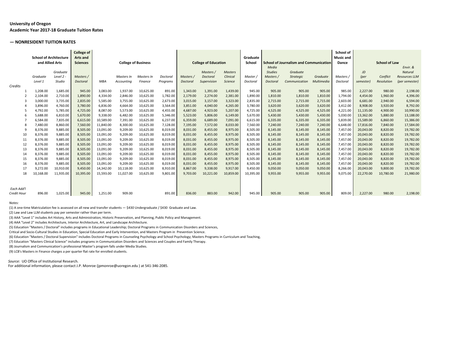## **University of Oregon Academic Year 2017-18 Graduate Tuition Rates**

#### **— NONRESIDENT TUITION RATES**

|             | <b>School of Architecture</b> |             | <b>College of</b><br><b>Arts and</b> |            |                            |            |          |           |                             |                | Graduate  |                 |                                               |            | School of<br><b>Music and</b> |           |                      |                      |
|-------------|-------------------------------|-------------|--------------------------------------|------------|----------------------------|------------|----------|-----------|-----------------------------|----------------|-----------|-----------------|-----------------------------------------------|------------|-------------------------------|-----------|----------------------|----------------------|
|             | and Allied Arts               |             | <b>Sciences</b>                      |            | <b>College of Business</b> |            |          |           | <b>College of Education</b> |                | School    |                 | <b>School of Journalism and Communication</b> |            | Dance                         |           | <b>School of Law</b> |                      |
|             |                               |             |                                      |            |                            |            |          |           |                             |                |           | Media           |                                               |            |                               |           |                      | Envir. &             |
|             |                               | Graduate    |                                      |            |                            |            |          |           | Masters /                   | <b>Masters</b> |           | <b>Studies</b>  | Graduate                                      |            |                               | JD        |                      | Natural              |
|             | Graduate                      | Level $2 -$ | Masters /                            |            | Masters In                 | Masters In | Doctoral | Masters / | Doctoral                    | Clinical       | Master,   | Masters /       | <b>Strategic</b>                              | Graduate   | Masters /                     | (per      | Conflict             | <b>Resources LLM</b> |
|             | Level 1                       | Studio      | Doctoral                             | <b>MBA</b> | Accounting                 | Finance    | Programs | Doctoral  | Supervision                 | Science        | Doctoral  | <b>Doctoral</b> | Communication                                 | Multimedia | Doctoral                      | semester) | <b>Resolution</b>    | (per semester)       |
| Credits     |                               |             |                                      |            |                            |            |          |           |                             |                |           |                 |                                               |            |                               |           |                      |                      |
|             | 1,208.00                      | 1,685.00    | 945.00                               | 3,083.00   | 1,937.00                   | 10,625.00  | 891.00   | 1,343.00  | 1,391.00                    | 1,439.00       | 945.00    | 905.00          | 905.00                                        | 905.00     | 985.00                        | 2,227.00  | 980.00               | 2,198.00             |
|             | 2,104.00                      | 2,710.00    | 1,890.00                             | 4,334.00   | 2,846.00                   | 10,625.00  | 1,782.00 | 2,179.00  | 2,274.00                    | 2,381.00       | 1,890.00  | 1,810.00        | 1,810.00                                      | 1,810.00   | 1,794.00                      | 4.454.00  | 1,960.00             | 4,396.00             |
|             | 3,000.00                      | 3,735.00    | 2,835.00                             | 5,585.00   | 3,755.00                   | 10,625.00  | 2,673.00 | 3,015.00  | 3,157.00                    | 3,323.00       | 2,835.00  | 2,715.00        | 2,715.00                                      | 2,715.00   | 2,603.00                      | 6,681.00  | 2,940.00             | 6,594.00             |
|             | 3,896.00                      | 4,760.00    | 3,780.00                             | 6,836.00   | 4,664.00                   | 10,625.00  | 3,564.00 | 3,851.00  | 4,040.00                    | 4,265.00       | 3,780.00  | 3,620.00        | 3,620.00                                      | 3,620.00   | 3,412.00                      | 8,908.00  | 3,920.00             | 8,792.00             |
|             | 4,792.00                      | 5,785.00    | 4,725.00                             | 8,087.00   | 5,573.00                   | 10,625.00  | 4,455.00 | 4,687.00  | 4,923.00                    | 5,207.00       | 4,725.00  | 4,525.00        | 4,525.00                                      | 4,525.00   | 4,221.00                      | 11,135.00 | 4,900.00             | 10,990.00            |
| 6           | 5,688.00                      | 6,810.00    | 5,670.00                             | 9,338.00   | 6,482.00                   | 10,625.00  | 5,346.00 | 5,523.00  | 5,806.00                    | 6,149.00       | 5,670.00  | 5,430.00        | 5,430.00                                      | 5,430.00   | 5,030.00                      | 13,362.00 | 5,880.00             | 13,188.00            |
|             | 6.584.00                      | 7,835.00    | 6,615.00                             | 10,589.00  | 7,391.00                   | 10,625.00  | 6,237.00 | 6,359.00  | 6,689.00                    | 7,091.00       | 6,615.00  | 6,335.00        | 6,335.00                                      | 6,335.00   | 5,839.00                      | 15,589.00 | 6,860.00             | 15,386.00            |
|             | 7,480.00                      | 8,860.00    | 7,560.00                             | 11,840.00  | 8,300.00                   | 10,625.00  | 7,128.00 | 7,195.00  | 7,572.00                    | 8,033.00       | 7,560.00  | 7,240.00        | 7,240.00                                      | 7,240.00   | 6,648.00                      | 17,816.00 | 7,840.00             | 17,584.00            |
| q           | 8,376.00                      | 9,885.00    | 8,505.00                             | 13,091.00  | 9,209.00                   | 10,625.00  | 8,019.00 | 8,031.00  | 8,455.00                    | 8,975.00       | 8,505.00  | 8,145.00        | 8,145.00                                      | 8,145.00   | 7,457.00                      | 20,043.00 | 8,820.00             | 19,782.00            |
| 10          | 8,376.00                      | 9,885.00    | 8,505.00                             | 13,091.00  | 9,209.00                   | 10,625.00  | 8,019.00 | 8,031.00  | 8,455.00                    | 8,975.00       | 8,505.00  | 8,145.00        | 8,145.00                                      | 8,145.00   | 7,457.00                      | 20,043.00 | 8,820.00             | 19,782.00            |
| 11          | 8,376.00                      | 9,885.00    | 8,505.00                             | 13,091.00  | 9,209.00                   | 10,625.00  | 8,019.00 | 8,031.00  | 8,455.00                    | 8,975.00       | 8,505.00  | 8,145.00        | 8,145.00                                      | 8,145.00   | 7,457.00                      | 20,043.00 | 8,820.00             | 19,782.00            |
| 12          | 8,376.00                      | 9.885.00    | 8,505.00                             | 13,091.00  | 9,209.00                   | 10,625.00  | 8,019.00 | 8,031.00  | 8,455.00                    | 8,975.00       | 8,505.00  | 8,145.00        | 8,145.00                                      | 8,145.00   | 7,457.00                      | 20,043.00 | 8,820.00             | 19,782.00            |
| 13          | 8,376.00                      | 9,885.00    | 8,505.00                             | 13,091.00  | 9,209.00                   | 10,625.00  | 8,019.00 | 8,031.00  | 8,455.00                    | 8,975.00       | 8,505.00  | 8,145.00        | 8,145.00                                      | 8,145.00   | 7,457.00                      | 20,043.00 | 8,820.00             | 19,782.00            |
|             | 8,376.00                      | 9,885.00    | 8,505.00                             | 13,091.00  | 9,209.00                   | 10,625.00  | 8,019.00 | 8,031.00  | 8,455.00                    | 8,975.00       | 8,505.00  | 8,145.00        | 8,145.00                                      | 8,145.00   | 7,457.00                      | 20,043.00 | 8,820.00             | 19,782.00            |
| 15          | 8,376.00                      | 9.885.00    | 8.505.00                             | 13,091.00  | 9,209.00                   | 10,625.00  | 8,019.00 | 8,031.00  | 8.455.00                    | 8,975.00       | 8.505.00  | 8,145.00        | 8,145.00                                      | 8,145.00   | 7,457.00                      | 20.043.00 | 8.820.00             | 19,782.00            |
| 16          | 8,376.00                      | 9,885.00    | 8,505.00                             | 13,091.00  | 9,209.00                   | 10,625.00  | 8,019.00 | 8,031.00  | 8,455.00                    | 8,975.00       | 8,505.00  | 8,145.00        | 8,145.00                                      | 8,145.00   | 7,457.00                      | 20,043.00 | 8,820.00             | 19,782.00            |
| 17          | 9,272.00                      | 10,910.00   | 9,450.00                             | 14,342.00  | 10,118.00                  | 10,625.00  | 8,910.00 | 8,867.00  | 9,338.00                    | 9,917.00       | 9,450.00  | 9,050.00        | 9,050.00                                      | 9,050.00   | 8,266.00                      | 20,043.00 | 9,800.00             | 19,782.00            |
| 18          | 10,168.00                     | 11,935.00   | 10.395.00                            | 15.593.00  | 11.027.00                  | 10,625.00  | 9.801.00 | 9.703.00  | 10,221.00                   | 10,859.00      | 10,395.00 | 9,955.00        | 9,955.00                                      | 9.955.00   | 9.075.00                      | 22.270.00 | 10,780.00            | 21,980.00            |
| Each Add'l  |                               |             |                                      |            |                            |            |          |           |                             |                |           |                 |                                               |            |                               |           |                      |                      |
| Credit Hour | 896.00                        | 1,025.00    | 945.00                               | 1,251.00   | 909.00                     |            | 891.00   | 836.00    | 883.00                      | 942.00         | 945.00    | 905.00          | 905.00                                        | 905.00     | 809.00                        | 2,227.00  | 980.00               | 2,198.00             |

*Notes:*

(1) A one-time Matriculation fee is assessed on all new and transfer students — \$430 Undergraduate / \$430 Graduate and Law.

(2) Law and Law LLM students pay per semester rather than per term.

(3) AAA "Level 1" includes Art History, Arts and Administration, Historic Preservation, and Planning, Public Policy and Management.

(4) AAA "Level 2" includes Architecture, Interior Architecture, Art, and Landscape Architecture.

(5) Education "Masters / Doctoral" includes programs in Educational Leadership; Doctoral Programs in Communication Disorders and Sciences,

Critical and Socio-Cultural Studies in Education, Special Education and Early Intervention, and Masters Program in Prevention Science.

(6) Education "Masters / Doctoral Supervision" includes Doctoral Programs in Counseling Psychology and School Psychology; Masters Programs in Curriculum and Teaching,

(7) Education "Masters Clinical Science" includes programs in Communication Disorders and Sciences and Couples and Family Therapy.

(8) Journalism and Communication's professional Master's program falls under Media Studies.

(9) LCB's Masters in Finance charges a per quarter flat rate for enrolled students.

*Source:* UO Office of Institutional Research.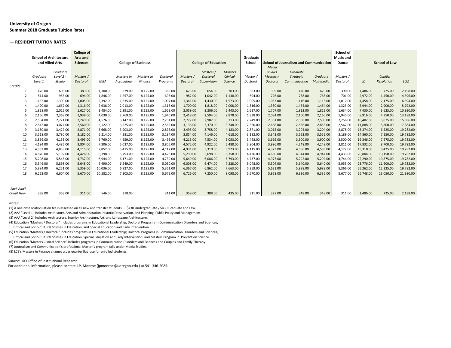## **University of Oregon Summer 2018 Graduate Tuition Rates**

#### **— RESIDENT TUITION RATES**

|             | <b>School of Architecture</b> |                      | <b>College of</b><br><b>Arts and</b> |                      |                            |                      |                      |                      |                             |                      | Graduate             |                      |                                               |                      | School of<br><b>Music and</b> |                      |                      |                        |
|-------------|-------------------------------|----------------------|--------------------------------------|----------------------|----------------------------|----------------------|----------------------|----------------------|-----------------------------|----------------------|----------------------|----------------------|-----------------------------------------------|----------------------|-------------------------------|----------------------|----------------------|------------------------|
|             | and Allied Arts               |                      | <b>Sciences</b>                      |                      | <b>College of Business</b> |                      |                      |                      | <b>College of Education</b> |                      | School               | Media                | <b>School of Journalism and Communication</b> |                      | Dance                         |                      | <b>School of Law</b> |                        |
|             |                               | Graduate             |                                      |                      |                            |                      |                      |                      | Masters /                   | <b>Masters</b>       |                      | <b>Studies</b>       | Graduate                                      |                      |                               |                      |                      |                        |
|             | Graduate                      | Level $2 -$          | Masters /                            |                      | Masters In                 | Masters In           | Doctoral             | Masters /            | Doctoral                    | Clinical             | Master /             | Masters /            | Strategic                                     | Graduate             | Masters /                     |                      | Conflict             |                        |
|             | Level 1                       | Studio               | Doctoral                             | <b>MBA</b>           | Accounting                 | Finance              | Programs             | Doctoral             | Supervision                 | Science              | Doctoral             | <b>Doctoral</b>      | Communication                                 | Multimedia           | Doctoral                      | JD                   | <b>Resolution</b>    | <b>LLM</b>             |
| Credits     |                               |                      |                                      |                      |                            |                      |                      |                      |                             |                      |                      |                      |                                               |                      |                               |                      |                      |                        |
|             | 476.00                        | 603.00               | 383.00                               | 1.300.00             | 879.00                     | 8,125.00             | 385.00               | 623.00               | 654.00                      | 703.00               | 383.00               | 399.00               | 420.00                                        | 420.00               | 390.00                        | 1,486.00             | 725.00               | 2,198.00               |
|             | 814.00                        | 956.00               | 694.00                               | 1,846.00             | 1,257.00                   | 8,125.00             | 696.00               | 982.00               | 1,042.00                    | 1,138.00             | 694.00               | 726.00               | 768.00                                        | 768.00               | 701.00                        | 2,972.00             | 1,450.00             | 4,396.00               |
|             | 1,152.00                      | 1,309.00             | 1,005.00                             | 2,392.00             | 1,635.00                   | 8,125.00             | 1,007.00             | 1,341.00             | 1,430.00                    | 1,573.00             | 1,005.00             | 1,053.00             | 1,116.00                                      | 1,116.00             | 1,012.00                      | 4,458.00             | 2,175.00             | 6,594.00               |
|             | 1.490.00                      | 1.662.00             | 1.316.00                             | 2.938.00             | 2.013.00                   | 8,125.00             | 1,318.00             | 1,700.00             | 1,818.00                    | 2,008.00             | 1,316.00             | 1.380.00             | 1.464.00                                      | 1.464.00             | 1.323.00                      | 5.944.00             | 2,900.00             | 8,792.00               |
|             | 1,828.00<br>2,166.00          | 2,015.00<br>2,368.00 | 1,627.00<br>1,938.00                 | 3,484.00<br>4,030.00 | 2,391.00<br>2,769.00       | 8,125.00<br>8,125.00 | 1,629.00<br>1,940.00 | 2,059.00<br>2,418.00 | 2,206.00<br>2,594.00        | 2,443.00<br>2,878.00 | 1,627.00<br>1,938.00 | 1,707.00<br>2,034.00 | 1,812.00<br>2,160.00                          | 1,812.00<br>2,160.00 | 1,634.00<br>1,945.00          | 7,430.00<br>8,916.00 | 3,625.00<br>4,350.00 | 10,990.00<br>13,188.00 |
|             | 2,504.00                      | 2,721.00             | 2,249.00                             | 4,576.00             | 3,147.00                   | 8,125.00             | 2,251.00             | 2,777.00             | 2,982.00                    | 3,313.00             | 2,249.00             | 2,361.00             | 2,508.00                                      | 2,508.00             | 2,256.00                      | 10,402.00            | 5,075.00             | 15,386.00              |
|             | 2,842.00                      | 3,074.00             | 2,560.00                             | 5,122.00             | 3,525.00                   | 8,125.00             | 2,562.00             | 3,136.00             | 3,370.00                    | 3,748.00             | 2,560.00             | 2,688.00             | 2,856.00                                      | 2,856.00             | 2,567.00                      | 11,888.00            | 5,800.00             | 17,584.00              |
| q           | 3,180.00                      | 3,427.00             | 2,871.00                             | 5,668.00             | 3,903.00                   | 8,125.00             | 2,873.00             | 3,495.00             | 3,758.00                    | 4,183.00             | 2,871.00             | 3,015.00             | 3,204.00                                      | 3,204.00             | 2,878.00                      | 13,374.00            | 6,525.00             | 19,782.00              |
| 10          | 3,518.00                      | 3,780.00             | 3,182.00                             | 6,214.00             | 4,281.00                   | 8,125.00             | 3,184.00             | 3,854.00             | 4,146.00                    | 4,618.00             | 3,182.00             | 3,342.00             | 3,552.00                                      | 3,552.00             | 3,189.00                      | 14,860.00            | 7,250.00             | 19,782.00              |
| 11          | 3,856.00                      | 4,133.00             | 3.493.00                             | 6,760.00             | 4,659.00                   | 8,125.00             | 3,495.00             | 4,213.00             | 4,534.00                    | 5,053.00             | 3,493.00             | 3,669.00             | 3,900.00                                      | 3,900.00             | 3,500.00                      | 16,346.00            | 7,975.00             | 19,782.00              |
| 12          | 4,194.00                      | 4,486.00             | 3,804.00                             | 7,306.00             | 5,037.00                   | 8,125.00             | 3,806.00             | 4,572.00             | 4,922.00                    | 5,488.00             | 3,804.00             | 3,996.00             | 4,248.00                                      | 4,248.00             | 3,811.00                      | 17,832.00            | 8,700.00             | 19,782.00              |
| 13          | 4,532.00                      | 4,839.00             | 4,115.00                             | 7,852.00             | 5,415.00                   | 8,125.00             | 4,117.00             | 4,931.00             | 5,310.00                    | 5,923.00             | 4,115.00             | 4,323.00             | 4,596.00                                      | 4,596.00             | 4,122.00                      | 19,318.00            | 9,425.00             | 19,782.00              |
| 14          | 4,870.00                      | 5,192.00             | 4,426.00                             | 8.398.00             | 5,793.00                   | 8,125.00             | 4,428.00             | 5,290.00             | 5,698.00                    | 6,358.00             | 4,426.00             | 4,650.00             | 4,944.00                                      | 4,944.00             | 4,433.00                      | 20,804.00            | 10,150.00            | 19,782.00              |
| 15          | 5,208.00                      | 5,545.00             | 4,737.00                             | 8,944.00             | 6,171.00                   | 8,125.00             | 4,739.00             | 5,649.00             | 6,086.00                    | 6,793.00             | 4,737.00             | 4,977.00             | 5,292.00                                      | 5,292.00             | 4,744.00                      | 22,290.00            | 10,875.00            | 19,782.00              |
| 16          | 5,546.00                      | 5.898.00             | 5.048.00                             | 9.490.00             | 6,549.00                   | 8,125.00             | 5,050.00             | 6,008.00             | 6,474.00                    | 7,228.00             | 5,048.00             | 5,304.00             | 5,640.00                                      | 5,640.00             | 5,055.00                      | 23,776.00            | 11,600.00            | 19,782.00              |
| 17          | 5,884.00                      | 6,251.00             | 5,359.00                             | 10,036.00            | 6,927.00                   | 8,125.00             | 5,361.00             | 6,367.00             | 6,862.00                    | 7,663.00             | 5,359.00             | 5,631.00             | 5,988.00                                      | 5,988.00             | 5,366.00                      | 25,262.00            | 12,325.00            | 19,782.00              |
| 18          | 6,222.00                      | 6,604.00             | 5,670.00                             | 10,582.00            | 7,305.00                   | 8,125.00             | 5,672.00             | 6,726.00             | 7,250.00                    | 8,098.00             | 5,670.00             | 5,958.00             | 6,336.00                                      | 6,336.00             | 5,677.00                      | 26,748.00            | 13,050.00            | 21,980.00              |
|             |                               |                      |                                      |                      |                            |                      |                      |                      |                             |                      |                      |                      |                                               |                      |                               |                      |                      |                        |
|             |                               |                      |                                      |                      |                            |                      |                      |                      |                             |                      |                      |                      |                                               |                      |                               |                      |                      |                        |
| Each Add'l  |                               |                      |                                      |                      |                            |                      |                      |                      |                             |                      |                      |                      |                                               |                      |                               |                      |                      |                        |
| Credit Hour | 338.00                        | 353.00               | 311.00                               | 546.00               | 378.00                     |                      | 311.00               | 359.00               | 388.00                      | 435.00               | 311.00               | 327.00               | 348.00                                        | 348.00               | 311.00                        | 1.486.00             | 725.00               | 2,198.00               |

#### *Notes:*

(1) A one-time Matriculation fee is assessed on all new and transfer students — \$430 Undergraduate / \$430 Graduate and Law.

(2) AAA "Level 1" includes Art History, Arts and Administration, Historic Preservation, and Planning, Public Policy and Management.

(3) AAA "Level 2" includes Architecture, Interior Architecture, Art, and Landscape Architecture.

(4) Education "Masters / Doctoral" includes programs in Educational Leadership, Doctoral Programs in Communication Disorders and Sciences, Critical and Socio-Cultural Studies in Education, and Special Education and Early Intervention.

(5) Education "Masters / Doctoral" includes programs in Educational Leadership; Doctoral Programs in Communication Disorders and Sciences,

Critical and Socio-Cultural Studies in Education, Special Education and Early Intervention, and Masters Program in Prevention Science.

(6) Education "Masters Clinical Science" includes programs in Communication Disorders and Sciences and Couples and Family Therapy.

(7) Journalism and Communication's professional Master's program falls under Media Studies.

(8) LCB's Masters in Finance charges a per quarter flat rate for enrolled students.

*Source:* UO Office of Institutional Research.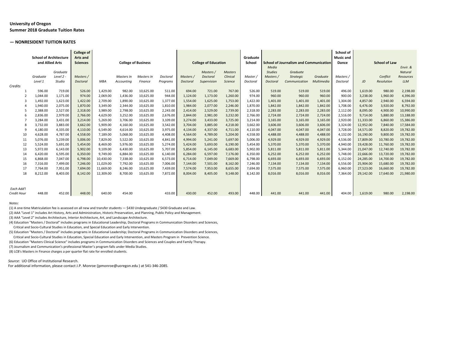## **University of Oregon Summer 2018 Graduate Tuition Rates**

#### **— NONRESIDENT TUITION RATES**

|             | <b>School of Architecture</b> |             | <b>College of</b><br><b>Arts and</b> |            |                            |            |          |                 |                             |                | Graduate |                 |                                               |            | School of<br><b>Music and</b> |           |                      |                  |
|-------------|-------------------------------|-------------|--------------------------------------|------------|----------------------------|------------|----------|-----------------|-----------------------------|----------------|----------|-----------------|-----------------------------------------------|------------|-------------------------------|-----------|----------------------|------------------|
|             | and Allied Arts               |             | <b>Sciences</b>                      |            | <b>College of Business</b> |            |          |                 | <b>College of Education</b> |                | School   |                 | <b>School of Journalism and Communication</b> |            | Dance                         |           | <b>School of Law</b> |                  |
|             |                               |             |                                      |            |                            |            |          |                 |                             |                |          | Media           |                                               |            |                               |           |                      | Envir. &         |
|             |                               | Graduate    |                                      |            |                            |            |          |                 | Masters /                   | <b>Masters</b> |          | <b>Studies</b>  | Graduate                                      |            |                               |           |                      | <b>Natural</b>   |
|             | Graduate                      | Level $2 -$ | Masters /                            |            | Masters In                 | Masters In | Doctoral | Masters /       | Doctoral                    | Clinical       | Master / | Masters /       | Strategic                                     | Graduate   | Masters /                     |           | Conflict             | <b>Resources</b> |
|             | Level 1                       | Studio      | Doctoral                             | <b>MBA</b> | Accounting                 | Finance    | Programs | <b>Doctoral</b> | Supervision                 | Science        | Doctoral | <b>Doctoral</b> | Communication                                 | Multimedia | Doctoral                      | JD        | <b>Resolution</b>    | <b>LLM</b>       |
| Credits     |                               |             |                                      |            |                            |            |          |                 |                             |                |          |                 |                                               |            |                               |           |                      |                  |
|             | 596.00                        | 719.00      | 526.00                               | 1.429.00   | 982.00                     | 10,625.00  | 511.00   | 694.00          | 721.00                      | 767.00         | 526.00   | 519.00          | 519.00                                        | 519.00     | 496.00                        | 1,619.00  | 980.00               | 2,198.00         |
|             | 1,044.00                      | 1,171.00    | 974.00                               | 2,069.00   | 1,436.00                   | 10,625.00  | 944.00   | 1,124.00        | 1,173.00                    | 1,260.00       | 974.00   | 960.00          | 960.00                                        | 960.00     | 900.00                        | 3,238.00  | 1,960.00             | 4,396.00         |
|             | 1,492.00                      | 1,623.00    | 1,422.00                             | 2,709.00   | 1,890.00                   | 10,625.00  | 1,377.00 | 1,554.00        | 1,625.00                    | 1,753.00       | 1,422.00 | 1,401.00        | 1,401.00                                      | 1,401.00   | 1,304.00                      | 4,857.00  | 2,940.00             | 6,594.00         |
|             | 1.940.00                      | 2.075.00    | 1.870.00                             | 3.349.00   | 2.344.00                   | 10,625.00  | 1,810.00 | 1,984.00        | 2,077.00                    | 2,246.00       | 1,870.00 | 1.842.00        | 1.842.00                                      | 1.842.00   | 1.708.00                      | 6.476.00  | 3,920.00             | 8,792.00         |
|             | 2,388.00                      | 2,527.00    | 2,318.00                             | 3,989.00   | 2,798.00                   | 10,625.00  | 2,243.00 | 2,414.00        | 2,529.00                    | 2,739.00       | 2,318.00 | 2,283.00        | 2,283.00                                      | 2,283.00   | 2,112.00                      | 8,095.00  | 4,900.00             | 10,990.00        |
|             | 2,836.00                      | 2,979.00    | 2,766.00                             | 4,629.00   | 3,252.00                   | 10,625.00  | 2,676.00 | 2,844.00        | 2,981.00                    | 3,232.00       | 2,766.00 | 2,724.00        | 2,724.00                                      | 2,724.00   | 2,516.00                      | 9,714.00  | 5,880.00             | 13,188.00        |
|             | 3,284.00                      | 3,431.00    | 3,214.00                             | 5,269.00   | 3,706.00                   | 10,625.00  | 3,109.00 | 3,274.00        | 3,433.00                    | 3,725.00       | 3,214.00 | 3,165.00        | 3,165.00                                      | 3,165.00   | 2,920.00                      | 11,333.00 | 6,860.00             | 15,386.00        |
|             | 3,732.00                      | 3,883.00    | 3.662.00                             | 5.909.00   | 4,160.00                   | 10,625.00  | 3,542.00 | 3,704.00        | 3,885.00                    | 4,218.00       | 3,662.00 | 3,606.00        | 3,606.00                                      | 3,606.00   | 3,324.00                      | 12,952.00 | 7,840.00             | 17,584.00        |
| q           | 4,180.00                      | 4,335.00    | 4,110.00                             | 6,549.00   | 4,614.00                   | 10,625.00  | 3,975.00 | 4,134.00        | 4,337.00                    | 4,711.00       | 4,110.00 | 4.047.00        | 4,047.00                                      | 4,047.00   | 3,728.00                      | 14,571.00 | 8,820.00             | 19,782.00        |
| 10          | 4,628.00                      | 4,787.00    | 4,558.00                             | 7,189.00   | 5,068.00                   | 10,625.00  | 4,408.00 | 4,564.00        | 4,789.00                    | 5,204.00       | 4,558.00 | 4,488.00        | 4,488.00                                      | 4,488.00   | 4,132.00                      | 16,190.00 | 9,800.00             | 19,782.00        |
| 11          | 5,076.00                      | 5,239.00    | 5,006.00                             | 7,829.00   | 5,522.00                   | 10,625.00  | 4,841.00 | 4,994.00        | 5,241.00                    | 5,697.00       | 5,006.00 | 4,929.00        | 4,929.00                                      | 4,929.00   | 4,536.00                      | 17,809.00 | 10,780.00            | 19,782.00        |
| 12          | 5,524.00                      | 5,691.00    | 5.454.00                             | 8,469.00   | 5,976.00                   | 10,625.00  | 5,274.00 | 5,424.00        | 5,693.00                    | 6,190.00       | 5,454.00 | 5,370.00        | 5,370.00                                      | 5,370.00   | 4,940.00                      | 19,428.00 | 11,760.00            | 19,782.00        |
| 13          | 5,972.00                      | 6,143.00    | 5,902.00                             | 9,109.00   | 6,430.00                   | 10,625.00  | 5,707.00 | 5,854.00        | 6,145.00                    | 6,683.00       | 5,902.00 | 5,811.00        | 5,811.00                                      | 5,811.00   | 5,344.00                      | 21,047.00 | 12,740.00            | 19,782.00        |
| 14          | 6,420.00                      | 6,595.00    | 6,350.00                             | 9.749.00   | 6,884.00                   | 10,625.00  | 6,140.00 | 6,284.00        | 6,597.00                    | 7,176.00       | 6.350.00 | 6,252.00        | 6,252.00                                      | 6,252.00   | 5,748.00                      | 22,666.00 | 13,720.00            | 19,782.00        |
| 15          | 6,868.00                      | 7,047.00    | 6,798.00                             | 10,430.00  | 7,338.00                   | 10,625.00  | 6,573.00 | 6,714.00        | 7,049.00                    | 7,669.00       | 6,798.00 | 6,693.00        | 6,693.00                                      | 6,693.00   | 6,152.00                      | 24,285.00 | 14,700.00            | 19,782.00        |
| 16          | 7,316.00                      | 7.499.00    | 7.246.00                             | 11,029.00  | 7,792.00                   | 10,625.00  | 7,006.00 | 7,144.00        | 7,501.00                    | 8,162.00       | 7.246.00 | 7,134.00        | 7,134.00                                      | 7,134.00   | 6,556.00                      | 25,904.00 | 15,680.00            | 19,782.00        |
|             | 7,764.00                      | 7,951.00    | 7,694.00                             | 11,669.00  | 8,246.00                   | 10,625.00  | 7,439.00 | 7,574.00        | 7,953.00                    | 8,655.00       | 7,694.00 | 7.575.00        | 7,575.00                                      | 7,575.00   | 6,960.00                      | 27,523.00 | 16,660.00            | 19,782.00        |
| 18          | 8,212.00                      | 8,403.00    | 8,142.00                             | 12,309.00  | 8,700.00                   | 10,625.00  | 7,872.00 | 8,004.00        | 8,405.00                    | 9,148.00       | 8.142.00 | 8,016.00        | 8,016.00                                      | 8,016.00   | 7,364.00                      | 29,142.00 | 17,640.00            | 21,980.00        |
|             |                               |             |                                      |            |                            |            |          |                 |                             |                |          |                 |                                               |            |                               |           |                      |                  |
|             |                               |             |                                      |            |                            |            |          |                 |                             |                |          |                 |                                               |            |                               |           |                      |                  |
| Each Add'l  |                               |             |                                      |            |                            |            |          |                 |                             |                |          |                 |                                               |            |                               |           |                      |                  |
| Credit Hour | 448.00                        | 452.00      | 448.00                               | 640.00     | 454.00                     |            | 433.00   | 430.00          | 452.00                      | 493.00         | 448.00   | 441.00          | 441.00                                        | 441.00     | 404.00                        | 1.619.00  | 980.00               | 2,198.00         |

#### *Notes:*

(1) A one-time Matriculation fee is assessed on all new and transfer students — \$430 Undergraduate / \$430 Graduate and Law.

(2) AAA "Level 1" includes Art History, Arts and Administration, Historic Preservation, and Planning, Public Policy and Management.

(3) AAA "Level 2" includes Architecture, Interior Architecture, Art, and Landscape Architecture.

(4) Education "Masters / Doctoral" includes programs in Educational Leadership, Doctoral Programs in Communication Disorders and Sciences, Critical and Socio-Cultural Studies in Education, and Special Education and Early Intervention.

(5) Education "Masters / Doctoral" includes programs in Educational Leadership; Doctoral Programs in Communication Disorders and Sciences,

Critical and Socio-Cultural Studies in Education, Special Education and Early Intervention, and Masters Program in Prevention Science.

(6) Education "Masters Clinical Science" includes programs in Communication Disorders and Sciences and Couples and Family Therapy.

(7) Journalism and Communication's professional Master's program falls under Media Studies.

(8) LCB's Masters in Finance charges a per quarter flat rate for enrolled students.

*Source:* UO Office of Institutional Research.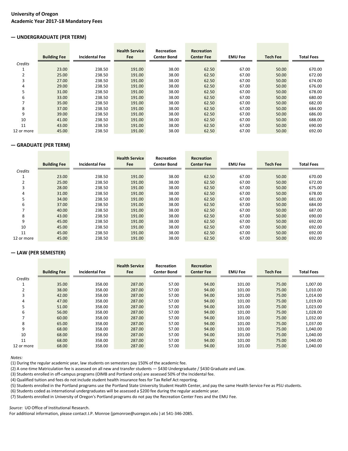## **University of Oregon Academic Year 2017-18 Mandatory Fees**

## **— UNDERGRADUATE (PER TERM)**

|                          |                     |                       | <b>Health Service</b> | Recreation         | Recreation        |                |                 |                   |
|--------------------------|---------------------|-----------------------|-----------------------|--------------------|-------------------|----------------|-----------------|-------------------|
|                          | <b>Building Fee</b> | <b>Incidental Fee</b> | Fee                   | <b>Center Bond</b> | <b>Center Fee</b> | <b>EMU Fee</b> | <b>Tech Fee</b> | <b>Total Fees</b> |
| Credits                  |                     |                       |                       |                    |                   |                |                 |                   |
|                          | 23.00               | 238.50                | 191.00                | 38.00              | 62.50             | 67.00          | 50.00           | 670.00            |
| $\overline{2}$           | 25.00               | 238.50                | 191.00                | 38.00              | 62.50             | 67.00          | 50.00           | 672.00            |
| 3                        | 27.00               | 238.50                | 191.00                | 38.00              | 62.50             | 67.00          | 50.00           | 674.00            |
| 4                        | 29.00               | 238.50                | 191.00                | 38.00              | 62.50             | 67.00          | 50.00           | 676.00            |
| 5                        | 31.00               | 238.50                | 191.00                | 38.00              | 62.50             | 67.00          | 50.00           | 678.00            |
| 6                        | 33.00               | 238.50                | 191.00                | 38.00              | 62.50             | 67.00          | 50.00           | 680.00            |
| $\overline{\phantom{a}}$ | 35.00               | 238.50                | 191.00                | 38.00              | 62.50             | 67.00          | 50.00           | 682.00            |
| 8                        | 37.00               | 238.50                | 191.00                | 38.00              | 62.50             | 67.00          | 50.00           | 684.00            |
| 9                        | 39.00               | 238.50                | 191.00                | 38.00              | 62.50             | 67.00          | 50.00           | 686.00            |
| 10                       | 41.00               | 238.50                | 191.00                | 38.00              | 62.50             | 67.00          | 50.00           | 688.00            |
| 11                       | 43.00               | 238.50                | 191.00                | 38.00              | 62.50             | 67.00          | 50.00           | 690.00            |
| 12 or more               | 45.00               | 238.50                | 191.00                | 38.00              | 62.50             | 67.00          | 50.00           | 692.00            |

## **— GRADUATE (PER TERM)**

|                | <b>Building Fee</b> | <b>Incidental Fee</b> | <b>Health Service</b><br><b>Fee</b> | <b>Recreation</b><br><b>Center Bond</b> | Recreation<br><b>Center Fee</b> | <b>EMU Fee</b> | <b>Tech Fee</b> | <b>Total Fees</b> |
|----------------|---------------------|-----------------------|-------------------------------------|-----------------------------------------|---------------------------------|----------------|-----------------|-------------------|
| Credits        |                     |                       |                                     |                                         |                                 |                |                 |                   |
|                | 23.00               | 238.50                | 191.00                              | 38.00                                   | 62.50                           | 67.00          | 50.00           | 670.00            |
| $\overline{2}$ | 25.00               | 238.50                | 191.00                              | 38.00                                   | 62.50                           | 67.00          | 50.00           | 672.00            |
| 3              | 28.00               | 238.50                | 191.00                              | 38.00                                   | 62.50                           | 67.00          | 50.00           | 675.00            |
| 4              | 31.00               | 238.50                | 191.00                              | 38.00                                   | 62.50                           | 67.00          | 50.00           | 678.00            |
| 5              | 34.00               | 238.50                | 191.00                              | 38.00                                   | 62.50                           | 67.00          | 50.00           | 681.00            |
| 6              | 37.00               | 238.50                | 191.00                              | 38.00                                   | 62.50                           | 67.00          | 50.00           | 684.00            |
| $\overline{ }$ | 40.00               | 238.50                | 191.00                              | 38.00                                   | 62.50                           | 67.00          | 50.00           | 687.00            |
| 8              | 43.00               | 238.50                | 191.00                              | 38.00                                   | 62.50                           | 67.00          | 50.00           | 690.00            |
| 9              | 45.00               | 238.50                | 191.00                              | 38.00                                   | 62.50                           | 67.00          | 50.00           | 692.00            |
| 10             | 45.00               | 238.50                | 191.00                              | 38.00                                   | 62.50                           | 67.00          | 50.00           | 692.00            |
| 11             | 45.00               | 238.50                | 191.00                              | 38.00                                   | 62.50                           | 67.00          | 50.00           | 692.00            |
| 12 or more     | 45.00               | 238.50                | 191.00                              | 38.00                                   | 62.50                           | 67.00          | 50.00           | 692.00            |

## **— LAW (PER SEMESTER)**

|            |                     |                       | <b>Health Service</b> | Recreation         | <b>Recreation</b> |                |                 |                   |
|------------|---------------------|-----------------------|-----------------------|--------------------|-------------------|----------------|-----------------|-------------------|
|            | <b>Building Fee</b> | <b>Incidental Fee</b> | Fee                   | <b>Center Bond</b> | <b>Center Fee</b> | <b>EMU Fee</b> | <b>Tech Fee</b> | <b>Total Fees</b> |
| Credits    |                     |                       |                       |                    |                   |                |                 |                   |
|            | 35.00               | 358.00                | 287.00                | 57.00              | 94.00             | 101.00         | 75.00           | 1,007.00          |
|            | 38.00               | 358.00                | 287.00                | 57.00              | 94.00             | 101.00         | 75.00           | 1,010.00          |
| 3          | 42.00               | 358.00                | 287.00                | 57.00              | 94.00             | 101.00         | 75.00           | 1,014.00          |
| 4          | 47.00               | 358.00                | 287.00                | 57.00              | 94.00             | 101.00         | 75.00           | 1,019.00          |
| 5          | 51.00               | 358.00                | 287.00                | 57.00              | 94.00             | 101.00         | 75.00           | 1.023.00          |
| 6          | 56.00               | 358.00                | 287.00                | 57.00              | 94.00             | 101.00         | 75.00           | 1,028.00          |
|            | 60.00               | 358.00                | 287.00                | 57.00              | 94.00             | 101.00         | 75.00           | 1,032.00          |
| 8          | 65.00               | 358.00                | 287.00                | 57.00              | 94.00             | 101.00         | 75.00           | 1,037.00          |
| 9          | 68.00               | 358.00                | 287.00                | 57.00              | 94.00             | 101.00         | 75.00           | 1,040.00          |
| 10         | 68.00               | 358.00                | 287.00                | 57.00              | 94.00             | 101.00         | 75.00           | 1,040.00          |
| 11         | 68.00               | 358.00                | 287.00                | 57.00              | 94.00             | 101.00         | 75.00           | 1,040.00          |
| 12 or more | 68.00               | 358.00                | 287.00                | 57.00              | 94.00             | 101.00         | 75.00           | 1,040.00          |

*Notes:*

(1) During the regular academic year, law students on semesters pay 150% of the academic fee.

(2) A one-time Matriculation fee is assessed on all new and transfer students — \$430 Undergraduate / \$430 Graduate and Law.

(3) Students enrolled in off-campus programs (OIMB and Portland only) are assessed 50% of the Incidental fee.

(4) Qualified tuition and fees do not include student health insurance fees for Tax Relief Act reporting.

(5) Students enrolled in the Portland programs use the Portland State University Student Health Center, and pay the same Health Service Fee as PSU students.

(6) Students coded as international undergraduates will be assessed a \$200 fee during the regular academic year.

(7) Students enrolled in University of Oregon's Portland programs do not pay the Recreation Center Fees and the EMU Fee.

*Source:* UO Office of Institutional Research.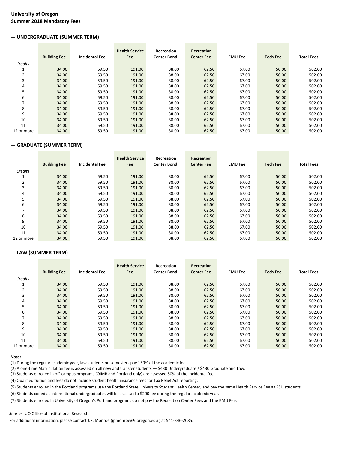## **University of Oregon Summer 2018 Mandatory Fees**

## **— UNDERGRADUATE (SUMMER TERM)**

|                          | <b>Building Fee</b> | <b>Incidental Fee</b> | <b>Health Service</b><br>Fee | Recreation<br><b>Center Bond</b> | Recreation<br><b>Center Fee</b> | <b>EMU Fee</b> | <b>Tech Fee</b> | <b>Total Fees</b> |
|--------------------------|---------------------|-----------------------|------------------------------|----------------------------------|---------------------------------|----------------|-----------------|-------------------|
|                          |                     |                       |                              |                                  |                                 |                |                 |                   |
| Credits                  |                     |                       |                              |                                  |                                 |                |                 |                   |
|                          | 34.00               | 59.50                 | 191.00                       | 38.00                            | 62.50                           | 67.00          | 50.00           | 502.00            |
| $\overline{2}$           | 34.00               | 59.50                 | 191.00                       | 38.00                            | 62.50                           | 67.00          | 50.00           | 502.00            |
| 3                        | 34.00               | 59.50                 | 191.00                       | 38.00                            | 62.50                           | 67.00          | 50.00           | 502.00            |
| 4                        | 34.00               | 59.50                 | 191.00                       | 38.00                            | 62.50                           | 67.00          | 50.00           | 502.00            |
| 5                        | 34.00               | 59.50                 | 191.00                       | 38.00                            | 62.50                           | 67.00          | 50.00           | 502.00            |
| 6                        | 34.00               | 59.50                 | 191.00                       | 38.00                            | 62.50                           | 67.00          | 50.00           | 502.00            |
| $\overline{\phantom{a}}$ | 34.00               | 59.50                 | 191.00                       | 38.00                            | 62.50                           | 67.00          | 50.00           | 502.00            |
| 8                        | 34.00               | 59.50                 | 191.00                       | 38.00                            | 62.50                           | 67.00          | 50.00           | 502.00            |
| 9                        | 34.00               | 59.50                 | 191.00                       | 38.00                            | 62.50                           | 67.00          | 50.00           | 502.00            |
| 10                       | 34.00               | 59.50                 | 191.00                       | 38.00                            | 62.50                           | 67.00          | 50.00           | 502.00            |
| 11                       | 34.00               | 59.50                 | 191.00                       | 38.00                            | 62.50                           | 67.00          | 50.00           | 502.00            |
| 12 or more               | 34.00               | 59.50                 | 191.00                       | 38.00                            | 62.50                           | 67.00          | 50.00           | 502.00            |

## **— GRADUATE (SUMMER TERM)**

|                | <b>Building Fee</b> | <b>Incidental Fee</b> | <b>Health Service</b><br>Fee | Recreation<br><b>Center Bond</b> | <b>Recreation</b><br><b>Center Fee</b> | <b>EMU Fee</b> | <b>Tech Fee</b> | <b>Total Fees</b> |
|----------------|---------------------|-----------------------|------------------------------|----------------------------------|----------------------------------------|----------------|-----------------|-------------------|
|                |                     |                       |                              |                                  |                                        |                |                 |                   |
| Credits        |                     |                       |                              |                                  |                                        |                |                 |                   |
|                | 34.00               | 59.50                 | 191.00                       | 38.00                            | 62.50                                  | 67.00          | 50.00           | 502.00            |
| $\overline{2}$ | 34.00               | 59.50                 | 191.00                       | 38.00                            | 62.50                                  | 67.00          | 50.00           | 502.00            |
| 3              | 34.00               | 59.50                 | 191.00                       | 38.00                            | 62.50                                  | 67.00          | 50.00           | 502.00            |
| 4              | 34.00               | 59.50                 | 191.00                       | 38.00                            | 62.50                                  | 67.00          | 50.00           | 502.00            |
| 5              | 34.00               | 59.50                 | 191.00                       | 38.00                            | 62.50                                  | 67.00          | 50.00           | 502.00            |
| 6              | 34.00               | 59.50                 | 191.00                       | 38.00                            | 62.50                                  | 67.00          | 50.00           | 502.00            |
|                | 34.00               | 59.50                 | 191.00                       | 38.00                            | 62.50                                  | 67.00          | 50.00           | 502.00            |
| 8              | 34.00               | 59.50                 | 191.00                       | 38.00                            | 62.50                                  | 67.00          | 50.00           | 502.00            |
| 9              | 34.00               | 59.50                 | 191.00                       | 38.00                            | 62.50                                  | 67.00          | 50.00           | 502.00            |
| 10             | 34.00               | 59.50                 | 191.00                       | 38.00                            | 62.50                                  | 67.00          | 50.00           | 502.00            |
| 11             | 34.00               | 59.50                 | 191.00                       | 38.00                            | 62.50                                  | 67.00          | 50.00           | 502.00            |
| 12 or more     | 34.00               | 59.50                 | 191.00                       | 38.00                            | 62.50                                  | 67.00          | 50.00           | 502.00            |

## **— LAW (SUMMER TERM)**

|            | <b>Building Fee</b> | <b>Incidental Fee</b> | <b>Health Service</b><br><b>Fee</b> | <b>Recreation</b><br><b>Center Bond</b> | <b>Recreation</b><br><b>Center Fee</b> | <b>EMU Fee</b> | <b>Tech Fee</b> | <b>Total Fees</b> |
|------------|---------------------|-----------------------|-------------------------------------|-----------------------------------------|----------------------------------------|----------------|-----------------|-------------------|
|            |                     |                       |                                     |                                         |                                        |                |                 |                   |
| Credits    |                     |                       |                                     |                                         |                                        |                |                 |                   |
|            | 34.00               | 59.50                 | 191.00                              | 38.00                                   | 62.50                                  | 67.00          | 50.00           | 502.00            |
| 2          | 34.00               | 59.50                 | 191.00                              | 38.00                                   | 62.50                                  | 67.00          | 50.00           | 502.00            |
| 3          | 34.00               | 59.50                 | 191.00                              | 38.00                                   | 62.50                                  | 67.00          | 50.00           | 502.00            |
| 4          | 34.00               | 59.50                 | 191.00                              | 38.00                                   | 62.50                                  | 67.00          | 50.00           | 502.00            |
| 5          | 34.00               | 59.50                 | 191.00                              | 38.00                                   | 62.50                                  | 67.00          | 50.00           | 502.00            |
| 6          | 34.00               | 59.50                 | 191.00                              | 38.00                                   | 62.50                                  | 67.00          | 50.00           | 502.00            |
|            | 34.00               | 59.50                 | 191.00                              | 38.00                                   | 62.50                                  | 67.00          | 50.00           | 502.00            |
| 8          | 34.00               | 59.50                 | 191.00                              | 38.00                                   | 62.50                                  | 67.00          | 50.00           | 502.00            |
| 9          | 34.00               | 59.50                 | 191.00                              | 38.00                                   | 62.50                                  | 67.00          | 50.00           | 502.00            |
| 10         | 34.00               | 59.50                 | 191.00                              | 38.00                                   | 62.50                                  | 67.00          | 50.00           | 502.00            |
| 11         | 34.00               | 59.50                 | 191.00                              | 38.00                                   | 62.50                                  | 67.00          | 50.00           | 502.00            |
| 12 or more | 34.00               | 59.50                 | 191.00                              | 38.00                                   | 62.50                                  | 67.00          | 50.00           | 502.00            |

*Notes:*

(1) During the regular academic year, law students on semesters pay 150% of the academic fee.

(2) A one-time Matriculation fee is assessed on all new and transfer students — \$430 Undergraduate / \$430 Graduate and Law.

(3) Students enrolled in off-campus programs (OIMB and Portland only) are assessed 50% of the Incidental fee.

(4) Qualified tuition and fees do not include student health insurance fees for Tax Relief Act reporting.

(5) Students enrolled in the Portland programs use the Portland State University Student Health Center, and pay the same Health Service Fee as PSU students.

(6) Students coded as international undergraduates will be assessed a \$200 fee during the regular academic year.

(7) Students enrolled in University of Oregon's Portland programs do not pay the Recreation Center Fees and the EMU Fee.

#### *Source:* UO Office of Institutional Research.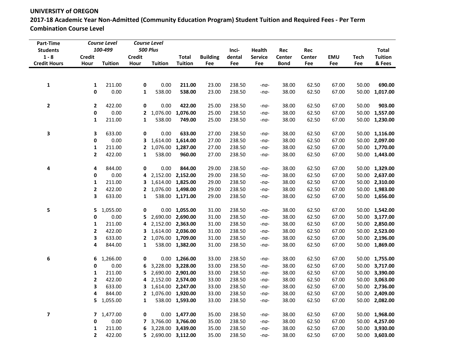**2017-18 Academic Year Non-Admitted (Community Education Program) Student Tuition and Required Fees - Per Term Combination Course Level**

| Part-Time<br><b>Students</b>   |                       | <b>Course Level</b><br>100-499 |                       | <b>Course Level</b><br><b>500 Plus</b> |                                |                        | Inci-         | Health                | Rec                   | Rec           |            |                    | <b>Total</b>             |
|--------------------------------|-----------------------|--------------------------------|-----------------------|----------------------------------------|--------------------------------|------------------------|---------------|-----------------------|-----------------------|---------------|------------|--------------------|--------------------------|
| $1 - 8$<br><b>Credit Hours</b> | <b>Credit</b><br>Hour | <b>Tuition</b>                 | <b>Credit</b><br>Hour | <b>Tuition</b>                         | <b>Total</b><br><b>Tuition</b> | <b>Building</b><br>Fee | dental<br>Fee | <b>Service</b><br>Fee | Center<br><b>Bond</b> | Center<br>Fee | EMU<br>Fee | <b>Tech</b><br>Fee | <b>Tuition</b><br>& Fees |
|                                |                       |                                |                       |                                        |                                |                        |               |                       |                       |               |            |                    |                          |
| 1                              | 1                     | 211.00                         | 0                     | 0.00                                   | 211.00                         | 23.00                  | 238.50        | $-na-$                | 38.00                 | 62.50         | 67.00      | 50.00              | 690.00                   |
|                                | 0                     | 0.00                           | 1                     | 538.00                                 | 538.00                         | 23.00                  | 238.50        | $-na-$                | 38.00                 | 62.50         | 67.00      | 50.00              | 1,017.00                 |
|                                |                       |                                |                       |                                        |                                |                        |               |                       |                       |               |            |                    |                          |
| 2                              | $\mathbf{2}$          | 422.00                         | 0                     | 0.00                                   | 422.00                         | 25.00                  | 238.50        | -na-                  | 38.00                 | 62.50         | 67.00      | 50.00              | 903.00                   |
|                                | 0                     | 0.00                           | $\mathbf{2}$          | 1,076.00                               | 1,076.00                       | 25.00                  | 238.50        | -na-                  | 38.00                 | 62.50         | 67.00      |                    | 50.00 1,557.00           |
|                                | 1                     | 211.00                         | 1                     | 538.00                                 | 749.00                         | 25.00                  | 238.50        | -na-                  | 38.00                 | 62.50         | 67.00      |                    | 50.00 1,230.00           |
| 3                              | 3                     | 633.00                         | 0                     | 0.00                                   | 633.00                         | 27.00                  | 238.50        | -na-                  | 38.00                 | 62.50         | 67.00      |                    | 50.00 1,116.00           |
|                                | 0                     | 0.00                           | 3                     | 1,614.00                               | 1,614.00                       | 27.00                  | 238.50        | $-na-$                | 38.00                 | 62.50         | 67.00      |                    | 50.00 2,097.00           |
|                                | 1                     | 211.00                         | $\mathbf{2}$          | 1,076.00                               | 1,287.00                       | 27.00                  | 238.50        | $-na-$                | 38.00                 | 62.50         | 67.00      |                    | 50.00 1,770.00           |
|                                | $\mathbf{2}$          | 422.00                         | 1                     | 538.00                                 | 960.00                         | 27.00                  | 238.50        | $-na-$                | 38.00                 | 62.50         | 67.00      |                    | 50.00 1,443.00           |
| 4                              | 4                     | 844.00                         | 0                     | 0.00                                   | 844.00                         | 29.00                  | 238.50        | $-na-$                | 38.00                 | 62.50         | 67.00      |                    | 50.00 1,329.00           |
|                                | 0                     | 0.00                           | 4                     |                                        | 2,152.00 2,152.00              | 29.00                  | 238.50        | $-na-$                | 38.00                 | 62.50         | 67.00      |                    | 50.00 2,637.00           |
|                                | 1                     | 211.00                         | 3                     |                                        | 1,614.00 1,825.00              | 29.00                  | 238.50        | $-na-$                | 38.00                 | 62.50         | 67.00      |                    | 50.00 2,310.00           |
|                                | 2                     | 422.00                         | $\mathbf{2}$          |                                        | 1,076.00 1,498.00              | 29.00                  | 238.50        | $-na-$                | 38.00                 | 62.50         | 67.00      |                    | 50.00 1,983.00           |
|                                | 3                     | 633.00                         | 1                     |                                        | 538.00 1,171.00                | 29.00                  | 238.50        | -na-                  | 38.00                 | 62.50         | 67.00      |                    | 50.00 1,656.00           |
| 5                              | 5                     | 1,055.00                       | $\mathbf 0$           |                                        | $0.00$ 1,055.00                | 31.00                  | 238.50        | -na-                  | 38.00                 | 62.50         | 67.00      |                    | 50.00 1,542.00           |
|                                | 0                     | 0.00                           | 5                     |                                        | 2,690.00 2,690.00              | 31.00                  | 238.50        | $-na-$                | 38.00                 | 62.50         | 67.00      |                    | 50.00 3,177.00           |
|                                | 1                     | 211.00                         | 4                     |                                        | 2,152.00 2,363.00              | 31.00                  | 238.50        | $-na-$                | 38.00                 | 62.50         | 67.00      |                    | 50.00 2,850.00           |
|                                | 2                     | 422.00                         | 3                     |                                        | 1,614.00 2,036.00              | 31.00                  | 238.50        | $-na-$                | 38.00                 | 62.50         | 67.00      |                    | 50.00 2,523.00           |
|                                | 3                     | 633.00                         | 2                     |                                        | 1,076.00 1,709.00              | 31.00                  | 238.50        | $-na-$                | 38.00                 | 62.50         | 67.00      |                    | 50.00 2,196.00           |
|                                | 4                     | 844.00                         | 1                     |                                        | 538.00 1,382.00                | 31.00                  | 238.50        | -na-                  | 38.00                 | 62.50         | 67.00      |                    | 50.00 1,869.00           |
| 6                              | 6                     | 1,266.00                       | 0                     |                                        | $0.00$ 1,266.00                | 33.00                  | 238.50        | -na-                  | 38.00                 | 62.50         | 67.00      |                    | 50.00 1,755.00           |
|                                | 0                     | 0.00                           | 6                     |                                        | 3,228.00 3,228.00              | 33.00                  | 238.50        | $-na-$                | 38.00                 | 62.50         | 67.00      | 50.00              | 3,717.00                 |
|                                | 1                     | 211.00                         | 5                     |                                        | 2,690.00 2,901.00              | 33.00                  | 238.50        | $-na-$                | 38.00                 | 62.50         | 67.00      | 50.00              | 3,390.00                 |
|                                | 2                     | 422.00                         | 4                     |                                        | 2,152.00 2,574.00              | 33.00                  | 238.50        | -na-                  | 38.00                 | 62.50         | 67.00      | 50.00              | 3,063.00                 |
|                                | 3                     | 633.00                         |                       | 3 1,614.00 2,247.00                    |                                | 33.00                  | 238.50        | $-na-$                | 38.00                 | 62.50         | 67.00      |                    | 50.00 2,736.00           |
|                                | 4                     | 844.00                         | $\mathbf{2}$          |                                        | 1,076.00 1,920.00              | 33.00                  | 238.50        | $-na-$                | 38.00                 | 62.50         | 67.00      |                    | 50.00 2,409.00           |
|                                | 5                     | 1,055.00                       | 1                     |                                        | 538.00 1,593.00                | 33.00                  | 238.50        | $-na-$                | 38.00                 | 62.50         | 67.00      |                    | 50.00 2,082.00           |
| 7                              | 7                     | 1,477.00                       | 0                     |                                        | $0.00$ 1,477.00                | 35.00                  | 238.50        | -na-                  | 38.00                 | 62.50         | 67.00      |                    | 50.00 1,968.00           |
|                                | 0                     | 0.00                           | 7                     |                                        | 3,766.00 3,766.00              | 35.00                  | 238.50        | -na-                  | 38.00                 | 62.50         | 67.00      |                    | 50.00 4,257.00           |
|                                | 1                     | 211.00                         | 6                     |                                        | 3,228.00 3,439.00              | 35.00                  | 238.50        | $-na-$                | 38.00                 | 62.50         | 67.00      |                    | 50.00 3,930.00           |
|                                | $\mathbf{2}$          | 422.00                         |                       | 5 2,690.00 3,112.00                    |                                | 35.00                  | 238.50        | $-na-$                | 38.00                 | 62.50         | 67.00      |                    | 50.00 3,603.00           |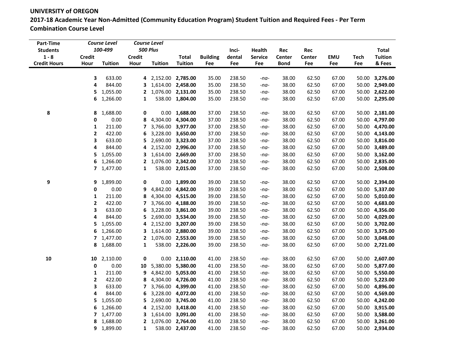**2017-18 Academic Year Non-Admitted (Community Education Program) Student Tuition and Required Fees - Per Term Combination Course Level**

| Part-Time           |               | <b>Course Level</b> |               | <b>Course Level</b> |                   |                 |        |                |             |        |            |             |                |
|---------------------|---------------|---------------------|---------------|---------------------|-------------------|-----------------|--------|----------------|-------------|--------|------------|-------------|----------------|
| <b>Students</b>     |               | 100-499             |               | 500 Plus            |                   |                 | Inci-  | <b>Health</b>  | Rec         | Rec    |            |             | <b>Total</b>   |
| $1 - 8$             | <b>Credit</b> |                     | <b>Credit</b> |                     | <b>Total</b>      | <b>Building</b> | dental | <b>Service</b> | Center      | Center | <b>EMU</b> | <b>Tech</b> | <b>Tuition</b> |
| <b>Credit Hours</b> | Hour          | <b>Tuition</b>      | Hour          | <b>Tuition</b>      | <b>Tuition</b>    | Fee             | Fee    | Fee            | <b>Bond</b> | Fee    | Fee        | Fee         | & Fees         |
|                     |               |                     |               |                     |                   |                 |        |                |             |        |            |             |                |
|                     | 3             | 633.00              |               | 4 2,152.00 2,785.00 |                   | 35.00           | 238.50 | $-na-$         | 38.00       | 62.50  | 67.00      |             | 50.00 3,276.00 |
|                     | 4             | 844.00              | 3             |                     | 1,614.00 2,458.00 | 35.00           | 238.50 | $-na-$         | 38.00       | 62.50  | 67.00      |             | 50.00 2,949.00 |
|                     | 5             | 1,055.00            | $\mathbf{2}$  |                     | 1,076.00 2,131.00 | 35.00           | 238.50 | $-na-$         | 38.00       | 62.50  | 67.00      |             | 50.00 2,622.00 |
|                     | 6             | 1,266.00            | 1             |                     | 538.00 1,804.00   | 35.00           | 238.50 | $-na-$         | 38.00       | 62.50  | 67.00      | 50.00       | 2,295.00       |
| 8                   | 8             | 1,688.00            | 0             |                     | $0.00$ 1,688.00   | 37.00           | 238.50 | $-na-$         | 38.00       | 62.50  | 67.00      |             | 50.00 2,181.00 |
|                     | $\pmb{0}$     | 0.00                | 8             |                     | 4,304.00 4,304.00 | 37.00           | 238.50 | $-na-$         | 38.00       | 62.50  | 67.00      |             | 50.00 4,797.00 |
|                     | $\mathbf{1}$  | 211.00              | 7             |                     | 3,766.00 3,977.00 | 37.00           | 238.50 | $-na-$         | 38.00       | 62.50  | 67.00      |             | 50.00 4,470.00 |
|                     | $\mathbf{2}$  | 422.00              | 6             |                     | 3,228.00 3,650.00 | 37.00           | 238.50 | $-na-$         | 38.00       | 62.50  | 67.00      |             | 50.00 4,143.00 |
|                     | 3             | 633.00              | 5             |                     | 2,690.00 3,323.00 | 37.00           | 238.50 | $-na-$         | 38.00       | 62.50  | 67.00      |             | 50.00 3,816.00 |
|                     | 4             | 844.00              | 4             |                     | 2,152.00 2,996.00 | 37.00           | 238.50 | $-na-$         | 38.00       | 62.50  | 67.00      |             | 50.00 3,489.00 |
|                     | 5             | 1,055.00            | 3             |                     | 1,614.00 2,669.00 | 37.00           | 238.50 |                | 38.00       | 62.50  | 67.00      |             | 50.00 3,162.00 |
|                     |               | 1,266.00            |               |                     | 1,076.00 2,342.00 | 37.00           | 238.50 | $-na-$         | 38.00       | 62.50  | 67.00      |             | 50.00 2,835.00 |
|                     | 6             |                     | 2             |                     | 538.00 2,015.00   | 37.00           | 238.50 | $-na-$         | 38.00       | 62.50  | 67.00      |             |                |
|                     |               | $7\quad 1,477.00$   | 1             |                     |                   |                 |        | $-na-$         |             |        |            |             | 50.00 2,508.00 |
| 9                   | 9             | 1,899.00            | 0             |                     | $0.00$ 1,899.00   | 39.00           | 238.50 | $-na-$         | 38.00       | 62.50  | 67.00      |             | 50.00 2,394.00 |
|                     | $\pmb{0}$     | 0.00                | 9             |                     | 4,842.00 4,842.00 | 39.00           | 238.50 | $-na-$         | 38.00       | 62.50  | 67.00      |             | 50.00 5,337.00 |
|                     | $\mathbf{1}$  | 211.00              | 8             |                     | 4,304.00 4,515.00 | 39.00           | 238.50 | $-na-$         | 38.00       | 62.50  | 67.00      |             | 50.00 5,010.00 |
|                     | 2             | 422.00              | 7             |                     | 3,766.00 4,188.00 | 39.00           | 238.50 | $-na-$         | 38.00       | 62.50  | 67.00      |             | 50.00 4,683.00 |
|                     | 3             | 633.00              | 6             |                     | 3,228.00 3,861.00 | 39.00           | 238.50 | $-na-$         | 38.00       | 62.50  | 67.00      |             | 50.00 4,356.00 |
|                     | 4             | 844.00              | 5             |                     | 2,690.00 3,534.00 | 39.00           | 238.50 | $-na-$         | 38.00       | 62.50  | 67.00      |             | 50.00 4,029.00 |
|                     | 5             | 1,055.00            | 4             |                     | 2,152.00 3,207.00 | 39.00           | 238.50 | $-na-$         | 38.00       | 62.50  | 67.00      |             | 50.00 3,702.00 |
|                     | 6             | 1,266.00            | 3             |                     | 1,614.00 2,880.00 | 39.00           | 238.50 | $-na-$         | 38.00       | 62.50  | 67.00      |             | 50.00 3,375.00 |
|                     | 7             | 1,477.00            | 2             |                     | 1,076.00 2,553.00 | 39.00           | 238.50 | $-na-$         | 38.00       | 62.50  | 67.00      |             | 50.00 3,048.00 |
|                     | 8             | 1,688.00            | 1             |                     | 538.00 2,226.00   | 39.00           | 238.50 | $-na-$         | 38.00       | 62.50  | 67.00      |             | 50.00 2,721.00 |
|                     |               |                     |               |                     |                   |                 |        |                |             |        |            |             |                |
| 10                  | 10            | 2,110.00            | 0             |                     | $0.00$ 2,110.00   | 41.00           | 238.50 | $-na-$         | 38.00       | 62.50  | 67.00      |             | 50.00 2,607.00 |
|                     | 0             | 0.00                | 10            |                     | 5,380.00 5,380.00 | 41.00           | 238.50 | $-na-$         | 38.00       | 62.50  | 67.00      |             | 50.00 5,877.00 |
|                     | $\mathbf 1$   | 211.00              | 9             |                     | 4,842.00 5,053.00 | 41.00           | 238.50 | $-na-$         | 38.00       | 62.50  | 67.00      |             | 50.00 5,550.00 |
|                     | $\mathbf{2}$  | 422.00              | 8             |                     | 4,304.00 4,726.00 | 41.00           | 238.50 | $-na-$         | 38.00       | 62.50  | 67.00      |             | 50.00 5,223.00 |
|                     | 3             | 633.00              | 7             |                     | 3,766.00 4,399.00 | 41.00           | 238.50 | $-na-$         | 38.00       | 62.50  | 67.00      |             | 50.00 4,896.00 |
|                     | 4             | 844.00              | 6             |                     | 3,228.00 4,072.00 | 41.00           | 238.50 | $-na-$         | 38.00       | 62.50  | 67.00      |             | 50.00 4,569.00 |
|                     | 5             | 1,055.00            | 5             |                     | 2,690.00 3,745.00 | 41.00           | 238.50 | $-na-$         | 38.00       | 62.50  | 67.00      |             | 50.00 4,242.00 |
|                     | 6             | 1,266.00            | 4             |                     | 2,152.00 3,418.00 | 41.00           | 238.50 | $-na-$         | 38.00       | 62.50  | 67.00      |             | 50.00 3,915.00 |
|                     | 7             | 1,477.00            | 3             |                     | 1,614.00 3,091.00 | 41.00           | 238.50 | $-na-$         | 38.00       | 62.50  | 67.00      |             | 50.00 3,588.00 |
|                     | 8             | 1,688.00            | $\mathbf{2}$  |                     | 1,076.00 2,764.00 | 41.00           | 238.50 | $-na-$         | 38.00       | 62.50  | 67.00      |             | 50.00 3,261.00 |
|                     |               | 9 1,899.00          | $\mathbf{1}$  |                     | 538.00 2,437.00   | 41.00           | 238.50 | $-na-$         | 38.00       | 62.50  | 67.00      |             | 50.00 2,934.00 |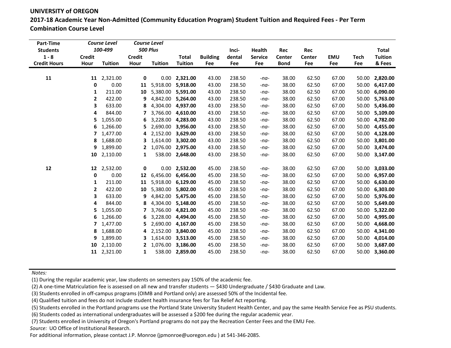**2017-18 Academic Year Non-Admitted (Community Education Program) Student Tuition and Required Fees - Per Term Combination Course Level**

| Part-Time<br><b>Students</b>   |                       | <b>Course Level</b><br>100-499 |                       | Course Level<br><b>500 Plus</b> |                                |                        | Inci-         | Health                | Rec                   | Rec                  |                   |                    | <b>Total</b>             |
|--------------------------------|-----------------------|--------------------------------|-----------------------|---------------------------------|--------------------------------|------------------------|---------------|-----------------------|-----------------------|----------------------|-------------------|--------------------|--------------------------|
| $1 - 8$<br><b>Credit Hours</b> | <b>Credit</b><br>Hour | <b>Tuition</b>                 | <b>Credit</b><br>Hour | <b>Tuition</b>                  | <b>Total</b><br><b>Tuition</b> | <b>Building</b><br>Fee | dental<br>Fee | <b>Service</b><br>Fee | Center<br><b>Bond</b> | <b>Center</b><br>Fee | <b>EMU</b><br>Fee | <b>Tech</b><br>Fee | <b>Tuition</b><br>& Fees |
|                                |                       |                                |                       |                                 |                                |                        |               |                       |                       |                      |                   |                    |                          |
| 11                             |                       | 11 2,321.00                    | 0                     |                                 | $0.00$ 2,321.00                | 43.00                  | 238.50        | $-na-$                | 38.00                 | 62.50                | 67.00             | 50.00              | 2,820.00                 |
|                                | 0                     | 0.00                           | 11                    | 5,918.00                        | 5,918.00                       | 43.00                  | 238.50        | $-na-$                | 38.00                 | 62.50                | 67.00             | 50.00              | 6,417.00                 |
|                                | 1                     | 211.00                         | 10                    | 5,380.00                        | 5,591.00                       | 43.00                  | 238.50        | $-na-$                | 38.00                 | 62.50                | 67.00             | 50.00              | 6,090.00                 |
|                                | 2                     | 422.00                         | 9                     | 4,842.00                        | 5,264.00                       | 43.00                  | 238.50        | $-na-$                | 38.00                 | 62.50                | 67.00             | 50.00              | 5,763.00                 |
|                                | 3                     | 633.00                         | 8                     | 4,304.00                        | 4,937.00                       | 43.00                  | 238.50        | $-na-$                | 38.00                 | 62.50                | 67.00             | 50.00              | 5,436.00                 |
|                                | 4                     | 844.00                         | 7                     | 3,766.00                        | 4,610.00                       | 43.00                  | 238.50        | $-na-$                | 38.00                 | 62.50                | 67.00             | 50.00              | 5,109.00                 |
|                                | 5                     | 1,055.00                       | 6                     | 3,228.00                        | 4,283.00                       | 43.00                  | 238.50        | $-na-$                | 38.00                 | 62.50                | 67.00             | 50.00              | 4,782.00                 |
|                                | 6                     | 1,266.00                       | 5                     | 2,690.00                        | 3,956.00                       | 43.00                  | 238.50        | $-na-$                | 38.00                 | 62.50                | 67.00             | 50.00              | 4,455.00                 |
|                                | 7                     | 1,477.00                       | 4                     | 2,152.00                        | 3,629.00                       | 43.00                  | 238.50        | $-na-$                | 38.00                 | 62.50                | 67.00             | 50.00              | 4,128.00                 |
|                                | 8                     | 1,688.00                       | 3                     | 1,614.00                        | 3,302.00                       | 43.00                  | 238.50        | $-na-$                | 38.00                 | 62.50                | 67.00             | 50.00              | 3,801.00                 |
|                                |                       | 9 1,899.00                     | $\mathbf{2}$          |                                 | 1,076.00 2,975.00              | 43.00                  | 238.50        | $-na-$                | 38.00                 | 62.50                | 67.00             | 50.00              | 3,474.00                 |
|                                |                       | 10 2,110.00                    | $\mathbf{1}$          |                                 | 538.00 2,648.00                | 43.00                  | 238.50        | $-na-$                | 38.00                 | 62.50                | 67.00             | 50.00              | 3,147.00                 |
| 12                             | 12                    | 2,532.00                       | 0                     |                                 | $0.00$ 2,532.00                | 45.00                  | 238.50        | $-na-$                | 38.00                 | 62.50                | 67.00             | 50.00              | 3,033.00                 |
|                                | 0                     | 0.00                           | 12                    |                                 | 6,456.00 6,456.00              | 45.00                  | 238.50        | $-na-$                | 38.00                 | 62.50                | 67.00             | 50.00              | 6,957.00                 |
|                                | 1                     | 211.00                         | 11                    |                                 | 5,918.00 6,129.00              | 45.00                  | 238.50        | $-na-$                | 38.00                 | 62.50                | 67.00             | 50.00              | 6,630.00                 |
|                                | 2                     | 422.00                         | 10                    | 5,380.00                        | 5,802.00                       | 45.00                  | 238.50        | $-na-$                | 38.00                 | 62.50                | 67.00             | 50.00              | 6,303.00                 |
|                                | 3                     | 633.00                         | 9                     | 4,842.00                        | 5,475.00                       | 45.00                  | 238.50        | $-na-$                | 38.00                 | 62.50                | 67.00             | 50.00              | 5,976.00                 |
|                                | 4                     | 844.00                         | 8                     | 4,304.00                        | 5,148.00                       | 45.00                  | 238.50        | $-na-$                | 38.00                 | 62.50                | 67.00             | 50.00              | 5,649.00                 |
|                                | 5                     | 1,055.00                       | 7                     | 3,766.00                        | 4,821.00                       | 45.00                  | 238.50        | $-na-$                | 38.00                 | 62.50                | 67.00             | 50.00              | 5,322.00                 |
|                                | 6                     | 1,266.00                       | 6                     | 3,228.00                        | 4,494.00                       | 45.00                  | 238.50        | $-na-$                | 38.00                 | 62.50                | 67.00             | 50.00              | 4,995.00                 |
|                                | 7                     | 1,477.00                       | 5                     | 2,690.00                        | 4,167.00                       | 45.00                  | 238.50        | $-na-$                | 38.00                 | 62.50                | 67.00             | 50.00              | 4,668.00                 |
|                                | 8                     | 1,688.00                       | 4                     | 2,152.00                        | 3,840.00                       | 45.00                  | 238.50        | $-na-$                | 38.00                 | 62.50                | 67.00             | 50.00              | 4,341.00                 |
|                                | 9                     | 1,899.00                       | 3                     | 1,614.00                        | 3,513.00                       | 45.00                  | 238.50        | $-na-$                | 38.00                 | 62.50                | 67.00             | 50.00              | 4,014.00                 |
|                                | 10                    | 2,110.00                       | 2                     | 1,076.00                        | 3,186.00                       | 45.00                  | 238.50        | $-na-$                | 38.00                 | 62.50                | 67.00             | 50.00              | 3,687.00                 |
|                                |                       | 11 2,321.00                    | $\mathbf{1}$          |                                 | 538.00 2,859.00                | 45.00                  | 238.50        | $-na-$                | 38.00                 | 62.50                | 67.00             |                    | 50.00 3,360.00           |
|                                |                       |                                |                       |                                 |                                |                        |               |                       |                       |                      |                   |                    |                          |

*Notes:*

(1) During the regular academic year, law students on semesters pay 150% of the academic fee.

(2) A one-time Matriculation fee is assessed on all new and transfer students — \$430 Undergraduate / \$430 Graduate and Law.

(3) Students enrolled in off-campus programs (OIMB and Portland only) are assessed 50% of the Incidental fee.

(4) Qualified tuition and fees do not include student health insurance fees for Tax Relief Act reporting.

(5) Students enrolled in the Portland programs use the Portland State University Student Health Center, and pay the same Health Service Fee as PSU students.

(6) Students coded as international undergraduates will be assessed a \$200 fee during the regular academic year.

(7) Students enrolled in University of Oregon's Portland programs do not pay the Recreation Center Fees and the EMU Fee.

*Source:* UO Office of Institutional Research.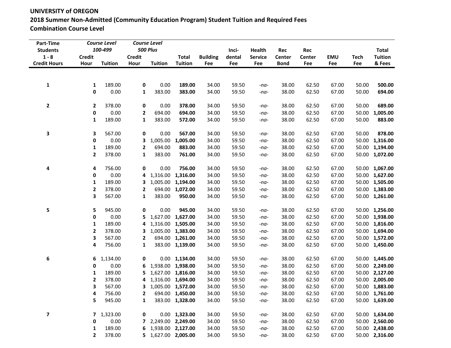# **UNIVERSITY of OREGON 2018 Summer Non-Admitted (Community Education Program) Student Tuition and Required Fees Combination Course Level**

| Part-Time<br><b>Students</b>   |                       | <b>Course Level</b><br>100-499 |                       | <b>Course Level</b><br><b>500 Plus</b> |                                |                        | Inci-         | Health                | Rec                          | Rec                  |                   |                    | <b>Total</b>             |
|--------------------------------|-----------------------|--------------------------------|-----------------------|----------------------------------------|--------------------------------|------------------------|---------------|-----------------------|------------------------------|----------------------|-------------------|--------------------|--------------------------|
| $1 - 8$<br><b>Credit Hours</b> | <b>Credit</b><br>Hour | <b>Tuition</b>                 | <b>Credit</b><br>Hour | <b>Tuition</b>                         | <b>Total</b><br><b>Tuition</b> | <b>Building</b><br>Fee | dental<br>Fee | <b>Service</b><br>Fee | <b>Center</b><br><b>Bond</b> | <b>Center</b><br>Fee | <b>EMU</b><br>Fee | <b>Tech</b><br>Fee | <b>Tuition</b><br>& Fees |
|                                |                       |                                |                       |                                        |                                |                        |               |                       |                              |                      |                   |                    |                          |
| 1                              | 1                     | 189.00                         | 0                     | 0.00                                   | 189.00                         | 34.00                  | 59.50         | $-na-$                | 38.00                        | 62.50                | 67.00             | 50.00              | 500.00                   |
|                                | 0                     | 0.00                           | 1                     | 383.00                                 | 383.00                         | 34.00                  | 59.50         | $-na-$                | 38.00                        | 62.50                | 67.00             | 50.00              | 694.00                   |
| $\mathbf{2}$                   | $\mathbf{2}$          | 378.00                         | 0                     | 0.00                                   | 378.00                         | 34.00                  | 59.50         | $-na-$                | 38.00                        | 62.50                | 67.00             | 50.00              | 689.00                   |
|                                | 0                     | 0.00                           | $\mathbf{2}$          | 694.00                                 | 694.00                         | 34.00                  | 59.50         | $-na-$                | 38.00                        | 62.50                | 67.00             | 50.00              | 1,005.00                 |
|                                | $\mathbf{1}$          | 189.00                         | $\mathbf{1}$          | 383.00                                 | 572.00                         | 34.00                  | 59.50         | $-na-$                | 38.00                        | 62.50                | 67.00             | 50.00              | 883.00                   |
| 3                              | 3                     | 567.00                         | 0                     | 0.00                                   | 567.00                         | 34.00                  | 59.50         | -na-                  | 38.00                        | 62.50                | 67.00             | 50.00              | 878.00                   |
|                                | 0                     | 0.00                           | 3                     | 1,005.00                               | 1,005.00                       | 34.00                  | 59.50         | -na-                  | 38.00                        | 62.50                | 67.00             | 50.00              | 1,316.00                 |
|                                | 1                     | 189.00                         | 2                     | 694.00                                 | 883.00                         | 34.00                  | 59.50         | $-na-$                | 38.00                        | 62.50                | 67.00             |                    | 50.00 1,194.00           |
|                                | $\mathbf{2}$          | 378.00                         | $\mathbf{1}$          | 383.00                                 | 761.00                         | 34.00                  | 59.50         | $-na-$                | 38.00                        | 62.50                | 67.00             |                    | 50.00 1,072.00           |
| 4                              | 4                     | 756.00                         | 0                     | 0.00                                   | 756.00                         | 34.00                  | 59.50         | -na-                  | 38.00                        | 62.50                | 67.00             | 50.00              | 1,067.00                 |
|                                | 0                     | 0.00                           | 4                     | 1,316.00                               | 1,316.00                       | 34.00                  | 59.50         | $-na-$                | 38.00                        | 62.50                | 67.00             |                    | 50.00 1,627.00           |
|                                | 1                     | 189.00                         | 3                     |                                        | 1,005.00 1,194.00              | 34.00                  | 59.50         | $-na-$                | 38.00                        | 62.50                | 67.00             |                    | 50.00 1,505.00           |
|                                | $\mathbf{2}$          | 378.00                         | 2                     |                                        | 694.00 1,072.00                | 34.00                  | 59.50         | $-na-$                | 38.00                        | 62.50                | 67.00             |                    | 50.00 1,383.00           |
|                                | 3                     | 567.00                         | 1                     | 383.00                                 | 950.00                         | 34.00                  | 59.50         | $-na-$                | 38.00                        | 62.50                | 67.00             |                    | 50.00 1,261.00           |
| 5                              | 5                     | 945.00                         | 0                     | 0.00                                   | 945.00                         | 34.00                  | 59.50         | -na-                  | 38.00                        | 62.50                | 67.00             |                    | 50.00 1,256.00           |
|                                | 0                     | 0.00                           | 5.                    |                                        | 1,627.00 1,627.00              | 34.00                  | 59.50         | $-na-$                | 38.00                        | 62.50                | 67.00             |                    | 50.00 1,938.00           |
|                                | 1                     | 189.00                         | 4                     |                                        | 1,316.00 1,505.00              | 34.00                  | 59.50         | $-na-$                | 38.00                        | 62.50                | 67.00             |                    | 50.00 1,816.00           |
|                                | $\mathbf{2}$          | 378.00                         | 3                     |                                        | 1,005.00 1,383.00              | 34.00                  | 59.50         | $-na-$                | 38.00                        | 62.50                | 67.00             |                    | 50.00 1,694.00           |
|                                | 3                     | 567.00                         | 2                     |                                        | 694.00 1,261.00                | 34.00                  | 59.50         | $-na-$                | 38.00                        | 62.50                | 67.00             |                    | 50.00 1,572.00           |
|                                | 4                     | 756.00                         | 1                     |                                        | 383.00 1,139.00                | 34.00                  | 59.50         | $-na-$                | 38.00                        | 62.50                | 67.00             |                    | 50.00 1,450.00           |
| 6                              | 6                     | 1,134.00                       | 0                     |                                        | $0.00$ 1,134.00                | 34.00                  | 59.50         | -na-                  | 38.00                        | 62.50                | 67.00             | 50.00              | 1,445.00                 |
|                                | 0                     | 0.00                           | 6                     |                                        | 1,938.00 1,938.00              | 34.00                  | 59.50         | -na-                  | 38.00                        | 62.50                | 67.00             | 50.00              | 2,249.00                 |
|                                | 1                     | 189.00                         | 5                     |                                        | 1,627.00 1,816.00              | 34.00                  | 59.50         | -na-                  | 38.00                        | 62.50                | 67.00             |                    | 50.00 2,127.00           |
|                                | $\mathbf{2}$          | 378.00                         | 4                     |                                        | 1,316.00 1,694.00              | 34.00                  | 59.50         | $-na-$                | 38.00                        | 62.50                | 67.00             | 50.00              | 2,005.00                 |
|                                | 3                     | 567.00                         |                       | 3 1,005.00 1,572.00                    |                                | 34.00                  | 59.50         | $-na-$                | 38.00                        | 62.50                | 67.00             |                    | 50.00 1,883.00           |
|                                | 4                     | 756.00                         | 2                     |                                        | 694.00 1,450.00                | 34.00                  | 59.50         | $-na-$                | 38.00                        | 62.50                | 67.00             |                    | 50.00 1,761.00           |
|                                | 5                     | 945.00                         | 1                     |                                        | 383.00 1,328.00                | 34.00                  | 59.50         | $-na-$                | 38.00                        | 62.50                | 67.00             |                    | 50.00 1,639.00           |
| 7                              | 7                     | 1,323.00                       | 0                     |                                        | $0.00$ 1,323.00                | 34.00                  | 59.50         | -na-                  | 38.00                        | 62.50                | 67.00             |                    | 50.00 1,634.00           |
|                                | 0                     | 0.00                           | $7^{\circ}$           |                                        | 2,249.00 2,249.00              | 34.00                  | 59.50         | -na-                  | 38.00                        | 62.50                | 67.00             |                    | 50.00 2,560.00           |
|                                | 1                     | 189.00                         |                       | 6 1,938.00 2,127.00                    |                                | 34.00                  | 59.50         | -na-                  | 38.00                        | 62.50                | 67.00             |                    | 50.00 2,438.00           |
|                                | $\mathbf{2}$          | 378.00                         |                       | 5 1,627.00 2,005.00                    |                                | 34.00                  | 59.50         | $-na-$                | 38.00                        | 62.50                | 67.00             |                    | 50.00 2,316.00           |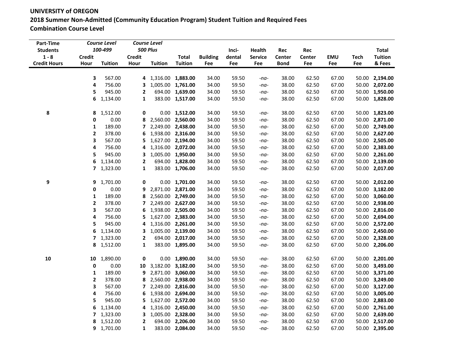**UNIVERSITY of OREGON 2018 Summer Non-Admitted (Community Education Program) Student Tuition and Required Fees Combination Course Level**

| Part-Time<br><b>Students</b> |               | <b>Course Level</b><br>100-499 |                          | <b>Course Level</b><br><b>500 Plus</b> |                   |                 | Inci-  | Health         | Rec         | Rec    |            |             | <b>Total</b>   |
|------------------------------|---------------|--------------------------------|--------------------------|----------------------------------------|-------------------|-----------------|--------|----------------|-------------|--------|------------|-------------|----------------|
| $1 - 8$                      | <b>Credit</b> |                                | <b>Credit</b>            |                                        | <b>Total</b>      | <b>Building</b> | dental | <b>Service</b> | Center      | Center | <b>EMU</b> | <b>Tech</b> | <b>Tuition</b> |
| <b>Credit Hours</b>          | Hour          | <b>Tuition</b>                 | Hour                     | <b>Tuition</b>                         | <b>Tuition</b>    | Fee             | Fee    | Fee            | <b>Bond</b> | Fee    | Fee        | Fee         | & Fees         |
|                              |               |                                |                          |                                        |                   |                 |        |                |             |        |            |             |                |
|                              | 3             | 567.00                         |                          | 4 1,316.00 1,883.00                    |                   | 34.00           | 59.50  | $-na-$         | 38.00       | 62.50  | 67.00      | 50.00       | 2,194.00       |
|                              | 4             | 756.00                         | 3                        |                                        | 1,005.00 1,761.00 | 34.00           | 59.50  | $-na-$         | 38.00       | 62.50  | 67.00      | 50.00       | 2,072.00       |
|                              | 5             | 945.00                         | $\mathbf{2}$             |                                        | 694.00 1,639.00   | 34.00           | 59.50  | $-na-$         | 38.00       | 62.50  | 67.00      |             | 50.00 1,950.00 |
|                              | 6             | 1,134.00                       | 1                        |                                        | 383.00 1,517.00   | 34.00           | 59.50  | $-na-$         | 38.00       | 62.50  | 67.00      | 50.00       | 1,828.00       |
| 8                            | 8             | 1,512.00                       | 0                        |                                        | $0.00$ 1,512.00   | 34.00           | 59.50  | $-na-$         | 38.00       | 62.50  | 67.00      |             | 50.00 1,823.00 |
|                              | 0             | 0.00                           | 8                        |                                        | 2,560.00 2,560.00 | 34.00           | 59.50  | $-na-$         | 38.00       | 62.50  | 67.00      |             | 50.00 2,871.00 |
|                              | $\mathbf 1$   | 189.00                         | $\overline{ }$           | 2,249.00 2,438.00                      |                   | 34.00           | 59.50  | $-na-$         | 38.00       | 62.50  | 67.00      | 50.00       | 2,749.00       |
|                              | $\mathbf{2}$  | 378.00                         | 6                        | 1,938.00 2,316.00                      |                   | 34.00           | 59.50  | $-na-$         | 38.00       | 62.50  | 67.00      |             | 50.00 2,627.00 |
|                              | 3             | 567.00                         | 5                        | 1,627.00 2,194.00                      |                   | 34.00           | 59.50  | $-na-$         | 38.00       | 62.50  | 67.00      |             | 50.00 2,505.00 |
|                              | 4             | 756.00                         | 4                        | 1,316.00 2,072.00                      |                   | 34.00           | 59.50  | $-na-$         | 38.00       | 62.50  | 67.00      | 50.00       | 2,383.00       |
|                              | 5             | 945.00                         | 3                        | 1,005.00 1,950.00                      |                   | 34.00           | 59.50  | $-na-$         | 38.00       | 62.50  | 67.00      | 50.00       | 2,261.00       |
|                              | 6             | 1,134.00                       | $\mathbf{2}$             |                                        | 694.00 1,828.00   | 34.00           | 59.50  | $-na-$         | 38.00       | 62.50  | 67.00      | 50.00       | 2,139.00       |
|                              |               | 7 1,323.00                     | $\mathbf{1}$             |                                        | 383.00 1,706.00   | 34.00           | 59.50  | $-na-$         | 38.00       | 62.50  | 67.00      |             | 50.00 2,017.00 |
|                              |               |                                |                          |                                        |                   |                 |        |                |             |        |            |             |                |
| 9                            | 9             | 1,701.00                       | 0                        |                                        | $0.00$ 1,701.00   | 34.00           | 59.50  | $-na-$         | 38.00       | 62.50  | 67.00      |             | 50.00 2,012.00 |
|                              | $\mathbf 0$   | 0.00                           | 9                        | 2,871.00 2,871.00                      |                   | 34.00           | 59.50  | $-na-$         | 38.00       | 62.50  | 67.00      | 50.00       | 3,182.00       |
|                              | 1             | 189.00                         | 8                        |                                        | 2,560.00 2,749.00 | 34.00           | 59.50  | $-na-$         | 38.00       | 62.50  | 67.00      | 50.00       | 3,060.00       |
|                              | 2             | 378.00                         | $\overline{\phantom{a}}$ |                                        | 2,249.00 2,627.00 | 34.00           | 59.50  | $-na-$         | 38.00       | 62.50  | 67.00      | 50.00       | 2,938.00       |
|                              | 3             | 567.00                         | 6                        | 1,938.00 2,505.00                      |                   | 34.00           | 59.50  | $-na-$         | 38.00       | 62.50  | 67.00      | 50.00       | 2,816.00       |
|                              | 4             | 756.00                         | 5                        | 1,627.00 2,383.00                      |                   | 34.00           | 59.50  | $-na-$         | 38.00       | 62.50  | 67.00      | 50.00       | 2,694.00       |
|                              | 5             | 945.00                         | 4                        |                                        | 1,316.00 2,261.00 | 34.00           | 59.50  | $-na-$         | 38.00       | 62.50  | 67.00      |             | 50.00 2,572.00 |
|                              | 6             | 1,134.00                       | 3                        | 1,005.00 2,139.00                      |                   | 34.00           | 59.50  | $-na-$         | 38.00       | 62.50  | 67.00      |             | 50.00 2,450.00 |
|                              | 7             | 1,323.00                       | 2                        |                                        | 694.00 2,017.00   | 34.00           | 59.50  | $-na-$         | 38.00       | 62.50  | 67.00      |             | 50.00 2,328.00 |
|                              | 8             | 1,512.00                       | 1                        |                                        | 383.00 1,895.00   | 34.00           | 59.50  | $-na-$         | 38.00       | 62.50  | 67.00      |             | 50.00 2,206.00 |
| 10                           | 10            | 1,890.00                       | 0                        |                                        | $0.00$ 1,890.00   | 34.00           | 59.50  | $-na-$         | 38.00       | 62.50  | 67.00      |             | 50.00 2,201.00 |
|                              | 0             | 0.00                           | 10                       | 3,182.00 3,182.00                      |                   | 34.00           | 59.50  | $-na-$         | 38.00       | 62.50  | 67.00      | 50.00       | 3,493.00       |
|                              | $\mathbf{1}$  | 189.00                         | 9                        |                                        | 2,871.00 3,060.00 | 34.00           | 59.50  | $-na-$         | 38.00       | 62.50  | 67.00      | 50.00       | 3,371.00       |
|                              | $\mathbf{2}$  | 378.00                         | 8                        | 2,560.00 2,938.00                      |                   | 34.00           | 59.50  | $-na-$         | 38.00       | 62.50  | 67.00      | 50.00       | 3,249.00       |
|                              | 3             | 567.00                         | 7                        |                                        | 2,249.00 2,816.00 | 34.00           | 59.50  | $-na-$         | 38.00       | 62.50  | 67.00      | 50.00       | 3,127.00       |
|                              | 4             | 756.00                         | 6                        | 1,938.00 2,694.00                      |                   | 34.00           | 59.50  | $-na-$         | 38.00       | 62.50  | 67.00      | 50.00       | 3,005.00       |
|                              | 5             | 945.00                         | 5                        | 1,627.00 2,572.00                      |                   | 34.00           | 59.50  | $-na-$         | 38.00       | 62.50  | 67.00      | 50.00       | 2,883.00       |
|                              | 6             | 1,134.00                       | 4                        | 1,316.00 2,450.00                      |                   | 34.00           | 59.50  | $-na-$         | 38.00       | 62.50  | 67.00      | 50.00       | 2,761.00       |
|                              | 7             | 1,323.00                       | 3                        | 1,005.00 2,328.00                      |                   | 34.00           | 59.50  | $-na-$         | 38.00       | 62.50  | 67.00      | 50.00       | 2,639.00       |
|                              | 8             | 1,512.00                       | $\overline{2}$           |                                        | 694.00 2,206.00   | 34.00           | 59.50  | $-na-$         | 38.00       | 62.50  | 67.00      |             | 50.00 2,517.00 |
|                              |               | 9 1,701.00                     | $\mathbf{1}$             |                                        | 383.00 2,084.00   | 34.00           | 59.50  | $-na-$         | 38.00       | 62.50  | 67.00      |             | 50.00 2,395.00 |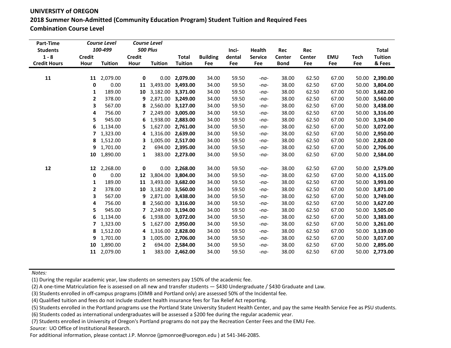**UNIVERSITY of OREGON 2018 Summer Non-Admitted (Community Education Program) Student Tuition and Required Fees Combination Course Level**

| Part-Time<br><b>Students</b> |                         | <b>Course Level</b><br>100-499 |                   | <b>Course Level</b><br><b>500 Plus</b> |                             |                 | Inci-          | Health           | Rec            | Rec            |                |                | <b>Total</b>         |
|------------------------------|-------------------------|--------------------------------|-------------------|----------------------------------------|-----------------------------|-----------------|----------------|------------------|----------------|----------------|----------------|----------------|----------------------|
| $1 - 8$                      | <b>Credit</b>           |                                | <b>Credit</b>     |                                        | <b>Total</b>                | <b>Building</b> | dental         | <b>Service</b>   | <b>Center</b>  | <b>Center</b>  | <b>EMU</b>     | <b>Tech</b>    | <b>Tuition</b>       |
| <b>Credit Hours</b>          | Hour                    | <b>Tuition</b>                 | Hour              | <b>Tuition</b>                         | <b>Tuition</b>              | Fee             | Fee            | Fee              | <b>Bond</b>    | Fee            | Fee            | Fee            | & Fees               |
|                              |                         |                                |                   |                                        |                             |                 |                |                  |                |                |                |                |                      |
| 11                           | 11<br>0                 | 2,079.00<br>0.00               | $\mathbf 0$<br>11 | 3,493.00                               | $0.00$ 2,079.00<br>3,493.00 | 34.00<br>34.00  | 59.50<br>59.50 | $-na-$           | 38.00<br>38.00 | 62.50<br>62.50 | 67.00<br>67.00 | 50.00<br>50.00 | 2,390.00<br>3,804.00 |
|                              | 1                       | 189.00                         | 10                | 3,182.00                               | 3,371.00                    | 34.00           | 59.50          | $-na-$<br>$-na-$ | 38.00          | 62.50          | 67.00          | 50.00          | 3,682.00             |
|                              | $\mathbf{2}$            | 378.00                         | 9                 | 2,871.00                               | 3,249.00                    | 34.00           | 59.50          |                  | 38.00          | 62.50          | 67.00          | 50.00          | 3,560.00             |
|                              | 3                       | 567.00                         | 8                 | 2,560.00                               | 3,127.00                    | 34.00           | 59.50          | $-na-$<br>$-na-$ | 38.00          | 62.50          | 67.00          | 50.00          | 3,438.00             |
|                              | 4                       | 756.00                         | 7                 | 2,249.00                               | 3,005.00                    | 34.00           | 59.50          | $-na-$           | 38.00          | 62.50          | 67.00          | 50.00          | 3,316.00             |
|                              | 5                       | 945.00                         | 6                 | 1,938.00                               | 2,883.00                    | 34.00           | 59.50          | $-na-$           | 38.00          | 62.50          | 67.00          | 50.00          | 3,194.00             |
|                              | 6                       | 1,134.00                       | 5                 |                                        | 1,627.00 2,761.00           | 34.00           | 59.50          | $-na-$           | 38.00          | 62.50          | 67.00          | 50.00          | 3,072.00             |
|                              | 7                       | 1,323.00                       | 4                 | 1,316.00                               | 2,639.00                    | 34.00           | 59.50          | $-na-$           | 38.00          | 62.50          | 67.00          | 50.00          | 2,950.00             |
|                              |                         | 8 1,512.00                     | 3                 | 1,005.00                               | 2,517.00                    | 34.00           | 59.50          | $-na-$           | 38.00          | 62.50          | 67.00          | 50.00          | 2,828.00             |
|                              |                         | 9 1,701.00                     | 2                 |                                        | 694.00 2,395.00             | 34.00           | 59.50          | $-na-$           | 38.00          | 62.50          | 67.00          | 50.00          | 2,706.00             |
|                              |                         | 10 1,890.00                    | 1                 |                                        | 383.00 2,273.00             | 34.00           | 59.50          | $-na-$           | 38.00          | 62.50          | 67.00          |                | 50.00 2,584.00       |
|                              |                         |                                |                   |                                        |                             |                 |                |                  |                |                |                |                |                      |
| 12                           | 12                      | 2,268.00                       | 0                 |                                        | $0.00$ 2,268.00             | 34.00           | 59.50          | $-na-$           | 38.00          | 62.50          | 67.00          |                | 50.00 2,579.00       |
|                              | 0                       | 0.00                           | 12                | 3,804.00                               | 3,804.00                    | 34.00           | 59.50          | $-na-$           | 38.00          | 62.50          | 67.00          | 50.00          | 4,115.00             |
|                              | 1                       | 189.00                         | 11                | 3,493.00                               | 3,682.00                    | 34.00           | 59.50          | $-na-$           | 38.00          | 62.50          | 67.00          | 50.00          | 3,993.00             |
|                              | 2                       | 378.00                         | 10                | 3,182.00                               | 3,560.00                    | 34.00           | 59.50          | $-na-$           | 38.00          | 62.50          | 67.00          | 50.00          | 3,871.00             |
|                              | 3                       | 567.00                         | 9                 | 2,871.00                               | 3,438.00                    | 34.00           | 59.50          | $-na-$           | 38.00          | 62.50          | 67.00          | 50.00          | 3,749.00             |
|                              | 4                       | 756.00                         | 8                 | 2,560.00                               | 3,316.00                    | 34.00           | 59.50          | $-na-$           | 38.00          | 62.50          | 67.00          | 50.00          | 3,627.00             |
|                              | 5                       | 945.00                         |                   | 2,249.00                               | 3,194.00                    | 34.00           | 59.50          | $-na-$           | 38.00          | 62.50          | 67.00          | 50.00          | 3,505.00             |
|                              | 6                       | 1,134.00                       | 6                 | 1,938.00                               | 3,072.00                    | 34.00           | 59.50          | $-na-$           | 38.00          | 62.50          | 67.00          | 50.00          | 3,383.00             |
|                              | $\overline{\mathbf{z}}$ | 1,323.00                       | 5                 | 1,627.00                               | 2,950.00                    | 34.00           | 59.50          | $-na-$           | 38.00          | 62.50          | 67.00          | 50.00          | 3,261.00             |
|                              | 8                       | 1,512.00                       | 4                 | 1,316.00                               | 2,828.00                    | 34.00           | 59.50          | $-na-$           | 38.00          | 62.50          | 67.00          | 50.00          | 3,139.00             |
|                              |                         | 9 1,701.00                     | 3                 | 1,005.00                               | 2,706.00                    | 34.00           | 59.50          | $-na-$           | 38.00          | 62.50          | 67.00          | 50.00          | 3,017.00             |
|                              | 10                      | 1,890.00                       | $\mathbf{2}$      |                                        | 694.00 2,584.00             | 34.00           | 59.50          | $-na-$           | 38.00          | 62.50          | 67.00          | 50.00          | 2,895.00             |
|                              |                         | 11 2,079.00                    | 1                 |                                        | 383.00 2,462.00             | 34.00           | 59.50          | $-na-$           | 38.00          | 62.50          | 67.00          |                | 50.00 2,773.00       |

*Notes:*

(1) During the regular academic year, law students on semesters pay 150% of the academic fee.

(2) A one-time Matriculation fee is assessed on all new and transfer students — \$430 Undergraduate / \$430 Graduate and Law.

(3) Students enrolled in off-campus programs (OIMB and Portland only) are assessed 50% of the Incidental fee.

(4) Qualified tuition and fees do not include student health insurance fees for Tax Relief Act reporting.

(5) Students enrolled in the Portland programs use the Portland State University Student Health Center, and pay the same Health Service Fee as PSU students.

(6) Students coded as international undergraduates will be assessed a \$200 fee during the regular academic year.

(7) Students enrolled in University of Oregon's Portland programs do not pay the Recreation Center Fees and the EMU Fee.

*Source:* UO Office of Institutional Research.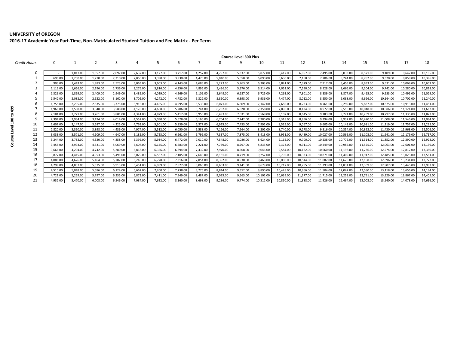**2016-17 Academic Year Part-Time, Non-Matriculated Student Tuition and Fee Matrix - Per Term**

|              | <b>Course Level 500 Plus</b> |          |                |          |                |          |          |          |          |          |           |           |           |           |           |           |           |           |           |
|--------------|------------------------------|----------|----------------|----------|----------------|----------|----------|----------|----------|----------|-----------|-----------|-----------|-----------|-----------|-----------|-----------|-----------|-----------|
| Credit Hours | $\Omega$                     |          | $\overline{2}$ |          | $\overline{a}$ | 5        | 6        |          | 8        | 9        | 10        | 11        | 12        | 13        | 14        | 15        | 16        | 17        | 18        |
| 0            |                              | 1,017.00 | 1,557.00       | 2,097.00 | 2,637.00       | 3,177.00 | 3,717.00 | 4,257.00 | 4,797.00 | 5,337.00 | 5,877.00  | 6,417.00  | 6,957.00  | 7,495.00  | 8,033.00  | 8,571.00  | 9,109.00  | 9,647.00  | 10,185.00 |
|              | 690.00                       | 1,230.00 | 1,770.00       | 2,310.00 | 2,850.00       | 3,390.00 | 3,930.00 | 4,470.00 | 5,010.00 | 5,550.00 | 6,090.00  | 6,630.00  | 7,168.00  | 7,706.00  | 8.244.00  | 8,782.00  | 9,320.00  | 9.858.00  | 10,396.00 |
|              | 903.00                       | 1,443.00 | 1,983.00       | 2,523.00 | 3,063.00       | 3,603.00 | 4,143.00 | 4,683.00 | 5,223.00 | 5,763.00 | 6,303.00  | 6,841.00  | 7,379.00  | 7,917.00  | 8,455.00  | 8,993.00  | 9,531.00  | 10,069.00 | 10,607.00 |
|              | 1.116.00                     | 1.656.00 | 2,196.00       | 2.736.00 | 3.276.00       | 3.816.00 | 4.356.00 | 4.896.00 | 5.436.00 | 5.976.00 | 6.514.00  | 7.052.00  | 7,590.00  | 8.128.00  | 8.666.00  | 9.204.00  | 9.742.00  | 10.280.00 | 10,818.00 |
|              | 1,329.00                     | 1,869.00 | 2,409.00       | 2,949.00 | 3,489.00       | 4,029.00 | 4,569.00 | 5,109.00 | 5,649.00 | 6,187.00 | 6,725.00  | 7,263.00  | 7,801.00  | 8,339.00  | 8,877.00  | 9,415.00  | 9,953.00  | 10,491.00 | 11,029.00 |
|              | 1.542.00                     | 2,082.00 | 2,622.00       | 3,162.00 | 3,702.00       | 4,242.00 | 4,782.00 | 5,322.00 | 5,860.00 | 6,398.00 | 6,936.00  | 7,474.00  | 8,012.00  | 8,550.00  | 9,088.00  | 9,626.00  | 10,164.00 | 10,702.00 | 11,240.00 |
|              | 1,755.00                     | 2,295.00 | 2,835.00       | 3.375.00 | 3.915.00       | 4,455.00 | 4,995.00 | 5,533.00 | 6,071.00 | 6,609.00 | 7.147.00  | 7,685.00  | 8,223.00  | 8,761.00  | 9.299.00  | 9.837.00  | 10,375.00 | 10,913.00 | 11,451.00 |
|              | 1,968.00                     | 2,508.00 | 3,048.00       | 3,588.00 | 4,128.00       | 4,668.00 | 5,206.00 | 5.744.00 | 6.282.00 | 6,820.00 | 7,358.00  | 7,896.00  | 8,434.00  | 8,972.00  | 9,510.00  | 10,048.00 | 10,586.00 | 11,124.00 | 11,662.00 |
|              | 2,181.00                     | 2,721.00 | 3,261.00       | 3,801.00 | 4,341.00       | 4,879.00 | 5,417.00 | 5,955.00 | 6,493.00 | 7,031.00 | 7,569.00  | 8,107.00  | 8,645.00  | 9,183.00  | 9,721.00  | 10,259.00 | 10,797.00 | 11,335.00 | 11,873.00 |
|              | 2,394.00                     | 2.934.00 | 3,474.00       | 4,014.00 | 4,552.00       | 5,090.00 | 5,628.00 | 6,166.00 | 6,704.00 | 7,242.00 | 7,780.00  | 8,318.00  | 8,856.00  | 9,394.00  | 9,932.00  | 10,470.00 | 11,008.00 | 11,546.00 | 12,084.00 |
| 10           | 2,607.00                     | 3.147.00 | 3,687.00       | 4.225.00 | 4,763.00       | 5,301.00 | 5,839.00 | 6.377.00 | 6,915.00 | 7,453.00 | 7,991.00  | 8,529.00  | 9,067.00  | 9,605.00  | 10,143.00 | 10,681.00 | 11,219.00 | 11,757.00 | 12,295.00 |
|              | 2.820.00                     | 3.360.00 | 3.898.00       | 4.436.00 | 4.974.00       | 5.512.00 | 6.050.00 | 6.588.00 | 7.126.00 | 7.664.00 | 8.202.00  | 8.740.00  | 9.278.00  | 9.816.00  | 10.354.00 | 10,892.00 | 11.430.00 | 11,968.00 | 12,506.00 |
|              | 3,033.00                     | 3,571.00 | 4,109.00       | 4,647.00 | 5,185.00       | 5,723.00 | 6,261.00 | 6,799.00 | 7,337.00 | 7,875.00 | 8,413.00  | 8,951.00  | 9,489.00  | 10,027.00 | 10,565.00 | 11,103.00 | 11,641.00 | 12,179.00 | 12,717.00 |
| 13           | 3.244.00                     | 3,782.00 | 4,320.00       | 4,858.00 | 5,396.00       | 5,934.00 | 6,472.00 | 7,010.00 | 7,548.00 | 8,086.00 | 8,624.00  | 9,162.00  | 9,700.00  | 10,238.00 | 10,776.00 | 11,314.00 | 11,852.00 | 12,390.00 | 12,928.00 |
| 14           | 3,455.00                     | 3,993.00 | 4,531.00       | 5,069.00 | 5,607.00       | 6,145.00 | 6,683.00 | 7,221.00 | 7,759.00 | 8,297.00 | 8,835.00  | 9,373.00  | 9,911.00  | 10,449.00 | 10,987.00 | 11,525.00 | 12,063.00 | 12,601.00 | 13,139.00 |
| 15           | 3,666.00                     | 4,204.00 | 4,742.00       | 5,280.00 | 5,818.00       | 6,356.00 | 6,894.00 | 7,432.00 | 7,970.00 | 8,508.00 | 9,046.00  | 9,584.00  | 10,122.00 | 10,660.00 | 11,198.00 | 11,736.00 | 12,274.00 | 12,812.00 | 13,350.00 |
| 16           | 3.877.00                     | 4,415.00 | 4,953.00       | 5,491.00 | 6,029.00       | 6,567.00 | 7,105.00 | 7,643.00 | 8,181.00 | 8,719.00 | 9,257.00  | 9,795.00  | 10,333.00 | 10,871.00 | 11,409.00 | 11,947.00 | 12,485.00 | 13,023.00 | 13,561.00 |
|              | 4,088.00                     | 4,626.00 | 5,164.00       | 5,702.00 | 6,240.00       | 6,778.00 | 7,316.00 | 7,854.00 | 8,392.00 | 8,930.00 | 9,468.00  | 10,006.00 | 10,544.00 | 11,082.00 | 11,620.00 | 12,158.00 | 12,696.00 | 13,234.00 | 13,772.00 |
| 18           | 4.299.00                     | 4.837.00 | 5.375.00       | 5.913.00 | 6.451.00       | 6,989.00 | 7,527.00 | 8,065.00 | 8.603.00 | 9.141.00 | 9.679.00  | 10,217.00 | 10,755.00 | 11,293.00 | 11,831.00 | 12,369.00 | 12.907.00 | 13.445.00 | 13,983.00 |
| 19           | 4,510.00                     | 5.048.00 | 5,586.00       | 6.124.00 | 6,662.00       | 7,200.00 | 7,738.00 | 8,276.00 | 8.814.00 | 9,352.00 | 9,890.00  | 10,428.00 | 10,966.00 | 11,504.00 | 12.042.00 | 12,580.00 | 13,118.00 | 13,656.00 | 14,194.00 |
| 20           | 4,721.00                     | 5,259.00 | 5,797.00       | 6,335.00 | 6,873.00       | 7,411.00 | 7,949.00 | 8,487.00 | 9,025.00 | 9,563.00 | 10,101.00 | 10,639.00 | 11,177.00 | 11,715.00 | 12,253.00 | 12,791.00 | 13,329.00 | 13,867.00 | 14,405.00 |
| 21           | 4,932.00                     | 5.470.00 | 6,008.00       | 6.546.00 | 7.084.00       | 7.622.00 | 8.160.00 | 8.698.00 | 9,236.00 | 9.774.00 | 10.312.00 | 10,850.00 | 11,388.00 | 11,926.00 | 12,464.00 | 13.002.00 | 13,540.00 | 14,078.00 | 14,616.00 |